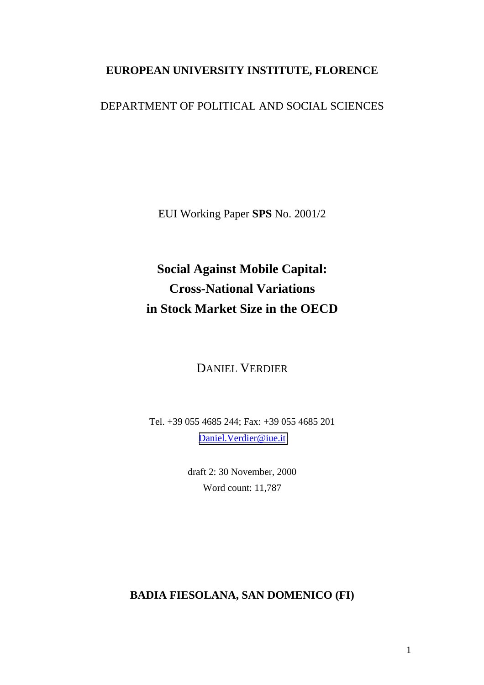## **EUROPEAN UNIVERSITY INSTITUTE, FLORENCE**

### DEPARTMENT OF POLITICAL AND SOCIAL SCIENCES

EUI Working Paper **SPS** No. 2001/2

# **Social Against Mobile Capital: Cross-National Variations in Stock Market Size in the OECD**

### DANIEL VERDIER

Tel. +39 055 4685 244; Fax: +39 055 4685 201 [Daniel.Verdier@iue.it](mailto:Daniel.verdier@eui.it)

> draft 2: 30 November, 2000 Word count: 11,787

### **BADIA FIESOLANA, SAN DOMENICO (FI)**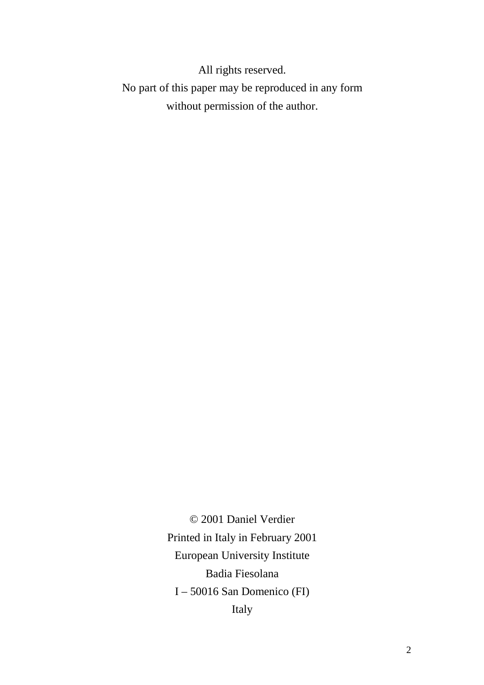All rights reserved. No part of this paper may be reproduced in any form without permission of the author.

> © 2001 Daniel Verdier Printed in Italy in February 2001 European University Institute Badia Fiesolana I – 50016 San Domenico (FI) Italy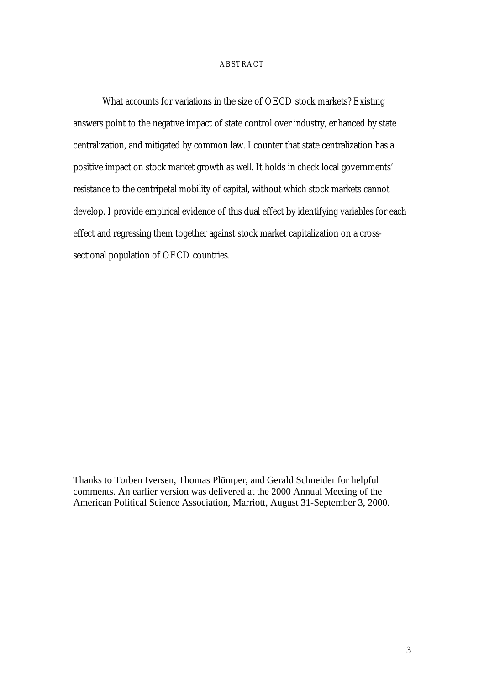#### ABSTRACT

What accounts for variations in the size of OECD stock markets? Existing answers point to the negative impact of state control over industry, enhanced by state centralization, and mitigated by common law. I counter that state centralization has a positive impact on stock market growth as well. It holds in check local governments' resistance to the centripetal mobility of capital, without which stock markets cannot develop. I provide empirical evidence of this dual effect by identifying variables for each effect and regressing them together against stock market capitalization on a crosssectional population of OECD countries.

Thanks to Torben Iversen, Thomas Plümper, and Gerald Schneider for helpful comments. An earlier version was delivered at the 2000 Annual Meeting of the American Political Science Association, Marriott, August 31-September 3, 2000.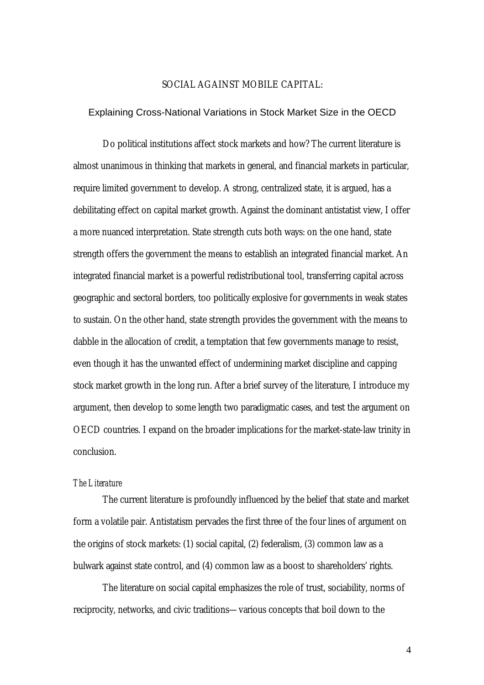#### SOCIAL AGAINST MOBILE CAPITAL:

#### Explaining Cross-National Variations in Stock Market Size in the OECD

Do political institutions affect stock markets and how? The current literature is almost unanimous in thinking that markets in general, and financial markets in particular, require limited government to develop. A strong, centralized state, it is argued, has a debilitating effect on capital market growth. Against the dominant antistatist view, I offer a more nuanced interpretation. State strength cuts both ways: on the one hand, state strength offers the government the means to establish an integrated financial market. An integrated financial market is a powerful redistributional tool, transferring capital across geographic and sectoral borders, too politically explosive for governments in weak states to sustain. On the other hand, state strength provides the government with the means to dabble in the allocation of credit, a temptation that few governments manage to resist, even though it has the unwanted effect of undermining market discipline and capping stock market growth in the long run. After a brief survey of the literature, I introduce my argument, then develop to some length two paradigmatic cases, and test the argument on OECD countries. I expand on the broader implications for the market-state-law trinity in conclusion.

#### *The Literature*

The current literature is profoundly influenced by the belief that state and market form a volatile pair. Antistatism pervades the first three of the four lines of argument on the origins of stock markets: (1) social capital, (2) federalism, (3) common law as a bulwark against state control, and (4) common law as a boost to shareholders' rights.

The literature on social capital emphasizes the role of trust, sociability, norms of reciprocity, networks, and civic traditions—various concepts that boil down to the

4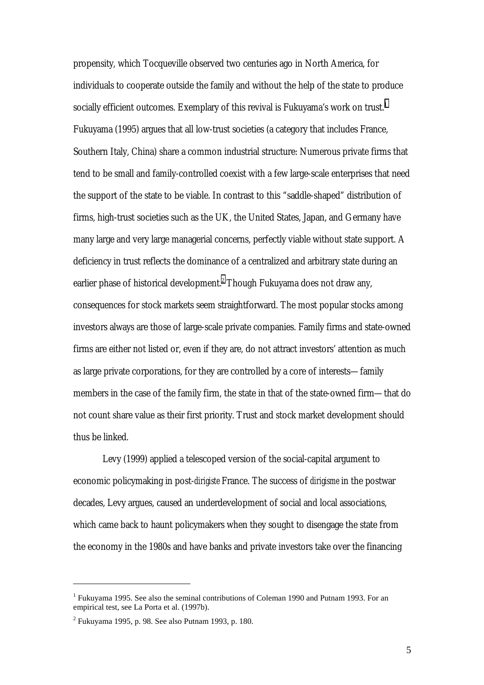propensity, which Tocqueville observed two centuries ago in North America, for individuals to cooperate outside the family and without the help of the state to produce socially efficient outcomes. Exemplary of this revival is Fukuyama's work on trust.<sup>1</sup> Fukuyama (1995) argues that all low-trust societies (a category that includes France, Southern Italy, China) share a common industrial structure: Numerous private firms that tend to be small and family-controlled coexist with a few large-scale enterprises that need the support of the state to be viable. In contrast to this "saddle-shaped" distribution of firms, high-trust societies such as the UK, the United States, Japan, and Germany have many large and very large managerial concerns, perfectly viable without state support. A deficiency in trust reflects the dominance of a centralized and arbitrary state during an earlier phase of historical development. $^2$  Though Fukuyama does not draw any, consequences for stock markets seem straightforward. The most popular stocks among investors always are those of large-scale private companies. Family firms and state-owned firms are either not listed or, even if they are, do not attract investors' attention as much as large private corporations, for they are controlled by a core of interests—family members in the case of the family firm, the state in that of the state-owned firm—that do not count share value as their first priority. Trust and stock market development should thus be linked.

Levy (1999) applied a telescoped version of the social-capital argument to economic policymaking in post-*dirigiste* France. The success of *dirigisme* in the postwar decades, Levy argues, caused an underdevelopment of social and local associations, which came back to haunt policymakers when they sought to disengage the state from the economy in the 1980s and have banks and private investors take over the financing

<sup>&</sup>lt;sup>1</sup> Fukuyama 1995. See also the seminal contributions of Coleman 1990 and Putnam 1993. For an empirical test, see La Porta et al. (1997b).

 $2$  Fukuyama 1995, p. 98. See also Putnam 1993, p. 180.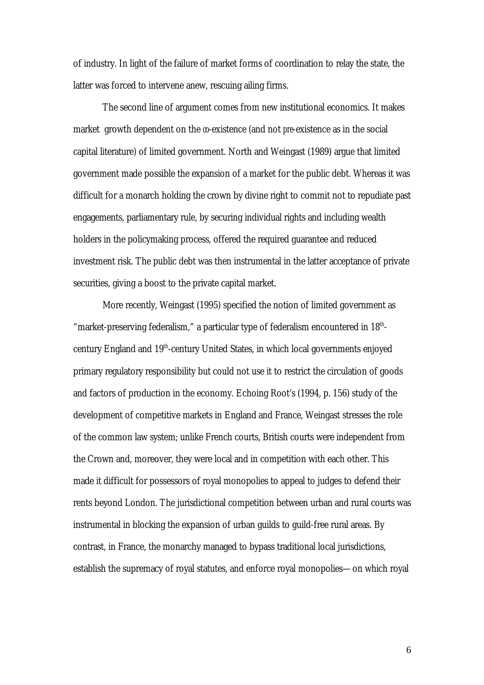of industry. In light of the failure of market forms of coordination to relay the state, the latter was forced to intervene anew, rescuing ailing firms.

The second line of argument comes from new institutional economics. It makes market growth dependent on the  $\omega$ -existence (and not *pre*-existence as in the social capital literature) of limited government. North and Weingast (1989) argue that limited government made possible the expansion of a market for the public debt. Whereas it was difficult for a monarch holding the crown by divine right to commit not to repudiate past engagements, parliamentary rule, by securing individual rights and including wealth holders in the policymaking process, offered the required guarantee and reduced investment risk. The public debt was then instrumental in the latter acceptance of private securities, giving a boost to the private capital market.

More recently, Weingast (1995) specified the notion of limited government as "market-preserving federalism," a particular type of federalism encountered in 18<sup>th</sup>century England and 19th-century United States, in which local governments enjoyed primary regulatory responsibility but could not use it to restrict the circulation of goods and factors of production in the economy. Echoing Root's (1994, p. 156) study of the development of competitive markets in England and France, Weingast stresses the role of the common law system; unlike French courts, British courts were independent from the Crown and, moreover, they were local and in competition with each other. This made it difficult for possessors of royal monopolies to appeal to judges to defend their rents beyond London. The jurisdictional competition between urban and rural courts was instrumental in blocking the expansion of urban guilds to guild-free rural areas. By contrast, in France, the monarchy managed to bypass traditional local jurisdictions, establish the supremacy of royal statutes, and enforce royal monopolies—on which royal

6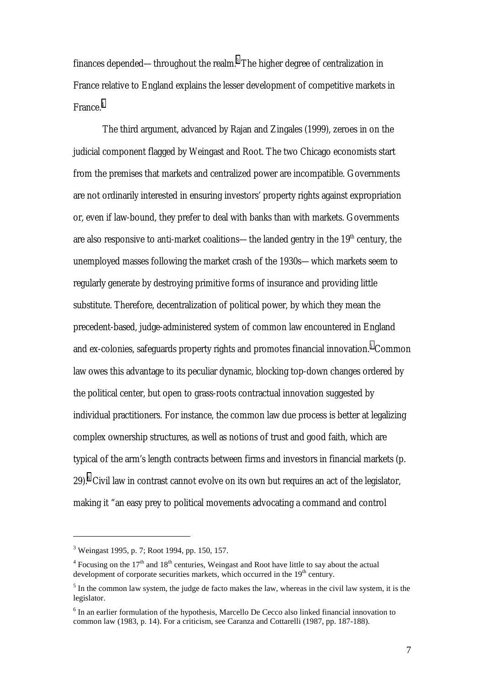finances depended—throughout the realm. $^3$  The higher degree of centralization in France relative to England explains the lesser development of competitive markets in France.4

The third argument, advanced by Rajan and Zingales (1999), zeroes in on the judicial component flagged by Weingast and Root. The two Chicago economists start from the premises that markets and centralized power are incompatible. Governments are not ordinarily interested in ensuring investors' property rights against expropriation or, even if law-bound, they prefer to deal with banks than with markets. Governments are also responsive to anti-market coalitions—the landed gentry in the  $19<sup>th</sup>$  century, the unemployed masses following the market crash of the 1930s—which markets seem to regularly generate by destroying primitive forms of insurance and providing little substitute. Therefore, decentralization of political power, by which they mean the precedent-based, judge-administered system of common law encountered in England and ex-colonies, safeguards property rights and promotes financial innovation. $^5$  Common law owes this advantage to its peculiar dynamic, blocking top-down changes ordered by the political center, but open to grass-roots contractual innovation suggested by individual practitioners. For instance, the common law due process is better at legalizing complex ownership structures, as well as notions of trust and good faith, which are typical of the arm's length contracts between firms and investors in financial markets (p. 29).<sup>6</sup> Civil law in contrast cannot evolve on its own but requires an act of the legislator, making it "an easy prey to political movements advocating a command and control

<sup>&</sup>lt;sup>3</sup> Weingast 1995, p. 7; Root 1994, pp. 150, 157.

<sup>&</sup>lt;sup>4</sup> Focusing on the 17<sup>th</sup> and 18<sup>th</sup> centuries, Weingast and Root have little to say about the actual development of corporate securities markets, which occurred in the  $19<sup>th</sup>$  century.

 $<sup>5</sup>$  In the common law system, the judge de facto makes the law, whereas in the civil law system, it is the</sup> legislator.

 $<sup>6</sup>$  In an earlier formulation of the hypothesis, Marcello De Cecco also linked financial innovation to</sup> common law (1983, p. 14). For a criticism, see Caranza and Cottarelli (1987, pp. 187-188).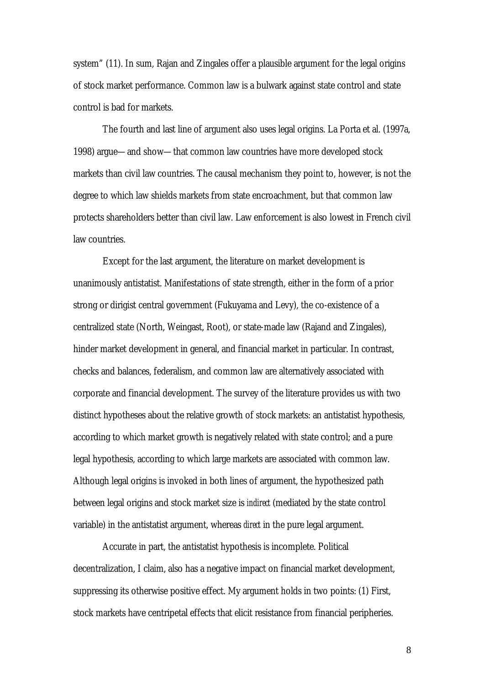system" (11). In sum, Rajan and Zingales offer a plausible argument for the legal origins of stock market performance. Common law is a bulwark against state control and state control is bad for markets.

The fourth and last line of argument also uses legal origins. La Porta et al. (1997a, 1998) argue—and show—that common law countries have more developed stock markets than civil law countries. The causal mechanism they point to, however, is not the degree to which law shields markets from state encroachment, but that common law protects shareholders better than civil law. Law enforcement is also lowest in French civil law countries.

Except for the last argument, the literature on market development is unanimously antistatist. Manifestations of state strength, either in the form of a prior strong or dirigist central government (Fukuyama and Levy), the co-existence of a centralized state (North, Weingast, Root), or state-made law (Rajand and Zingales), hinder market development in general, and financial market in particular. In contrast, checks and balances, federalism, and common law are alternatively associated with corporate and financial development. The survey of the literature provides us with two distinct hypotheses about the relative growth of stock markets: an antistatist hypothesis, according to which market growth is negatively related with state control; and a pure legal hypothesis, according to which large markets are associated with common law. Although legal origins is invoked in both lines of argument, the hypothesized path between legal origins and stock market size is *indirect* (mediated by the state control variable) in the antistatist argument, whereas *direct* in the pure legal argument.

Accurate in part, the antistatist hypothesis is incomplete. Political decentralization, I claim, also has a negative impact on financial market development, suppressing its otherwise positive effect. My argument holds in two points: (1) First, stock markets have centripetal effects that elicit resistance from financial peripheries.

8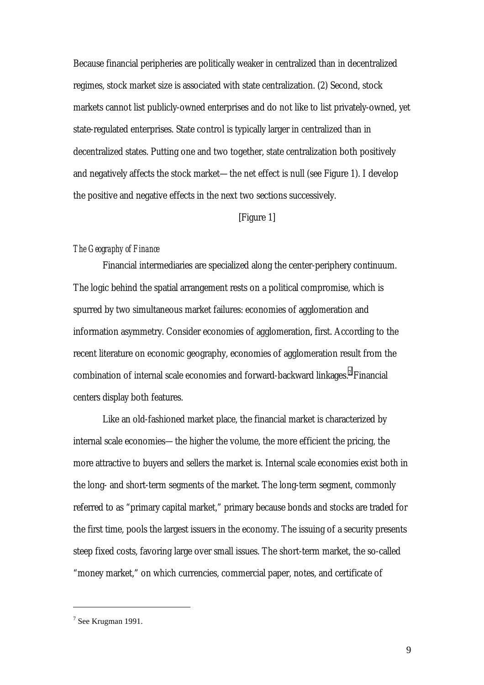Because financial peripheries are politically weaker in centralized than in decentralized regimes, stock market size is associated with state centralization. (2) Second, stock markets cannot list publicly-owned enterprises and do not like to list privately-owned, yet state-regulated enterprises. State control is typically larger in centralized than in decentralized states. Putting one and two together, state centralization both positively and negatively affects the stock market—the net effect is null (see Figure 1). I develop the positive and negative effects in the next two sections successively.

#### [Figure 1]

#### *The Geography of Finance*

Financial intermediaries are specialized along the center-periphery continuum. The logic behind the spatial arrangement rests on a political compromise, which is spurred by two simultaneous market failures: economies of agglomeration and information asymmetry. Consider economies of agglomeration, first. According to the recent literature on economic geography, economies of agglomeration result from the combination of internal scale economies and forward-backward linkages.<sup>7</sup> Financial centers display both features.

Like an old-fashioned market place, the financial market is characterized by internal scale economies—the higher the volume, the more efficient the pricing, the more attractive to buyers and sellers the market is. Internal scale economies exist both in the long- and short-term segments of the market. The long-term segment, commonly referred to as "primary capital market," primary because bonds and stocks are traded for the first time, pools the largest issuers in the economy. The issuing of a security presents steep fixed costs, favoring large over small issues. The short-term market, the so-called "money market," on which currencies, commercial paper, notes, and certificate of

 $7$  See Krugman 1991.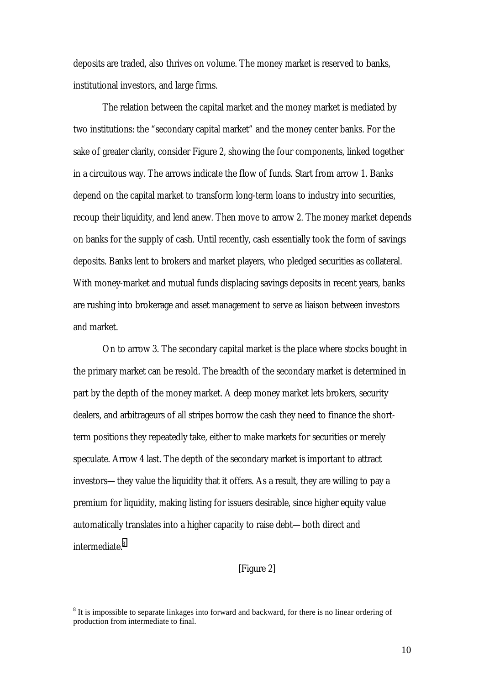deposits are traded, also thrives on volume. The money market is reserved to banks, institutional investors, and large firms.

The relation between the capital market and the money market is mediated by two institutions: the "secondary capital market" and the money center banks. For the sake of greater clarity, consider Figure 2, showing the four components, linked together in a circuitous way. The arrows indicate the flow of funds. Start from arrow 1. Banks depend on the capital market to transform long-term loans to industry into securities, recoup their liquidity, and lend anew. Then move to arrow 2. The money market depends on banks for the supply of cash. Until recently, cash essentially took the form of savings deposits. Banks lent to brokers and market players, who pledged securities as collateral. With money-market and mutual funds displacing savings deposits in recent years, banks are rushing into brokerage and asset management to serve as liaison between investors and market.

On to arrow 3. The secondary capital market is the place where stocks bought in the primary market can be resold. The breadth of the secondary market is determined in part by the depth of the money market. A deep money market lets brokers, security dealers, and arbitrageurs of all stripes borrow the cash they need to finance the shortterm positions they repeatedly take, either to make markets for securities or merely speculate. Arrow 4 last. The depth of the secondary market is important to attract investors—they value the liquidity that it offers. As a result, they are willing to pay a premium for liquidity, making listing for issuers desirable, since higher equity value automatically translates into a higher capacity to raise debt—both direct and intermediate.<sup>8</sup>

[Figure 2]

 $8$  It is impossible to separate linkages into forward and backward, for there is no linear ordering of production from intermediate to final.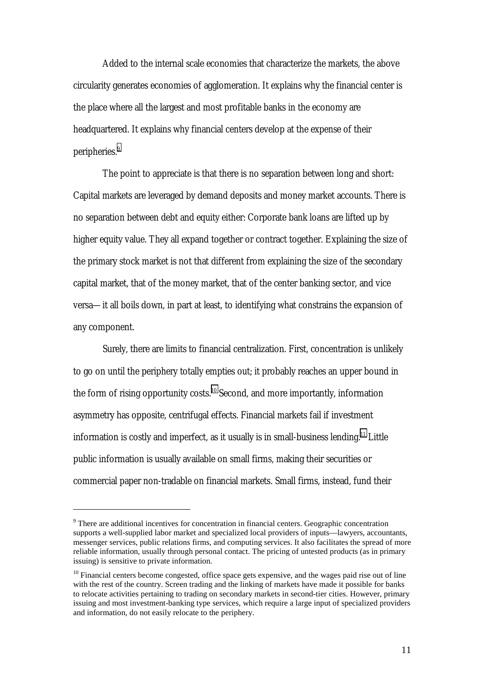Added to the internal scale economies that characterize the markets, the above circularity generates economies of agglomeration. It explains why the financial center is the place where all the largest and most profitable banks in the economy are headquartered. It explains why financial centers develop at the expense of their peripheries.<sup>9</sup>

The point to appreciate is that there is no separation between long and short: Capital markets are leveraged by demand deposits and money market accounts. There is no separation between debt and equity either: Corporate bank loans are lifted up by higher equity value. They all expand together or contract together. Explaining the size of the primary stock market is not that different from explaining the size of the secondary capital market, that of the money market, that of the center banking sector, and vice versa—it all boils down, in part at least, to identifying what constrains the expansion of any component.

Surely, there are limits to financial centralization. First, concentration is unlikely to go on until the periphery totally empties out; it probably reaches an upper bound in the form of rising opportunity costs.<sup>10</sup> Second, and more importantly, information asymmetry has opposite, centrifugal effects. Financial markets fail if investment information is costly and imperfect, as it usually is in small-business lending.<sup>11</sup> Little public information is usually available on small firms, making their securities or commercial paper non-tradable on financial markets. Small firms, instead, fund their

 $9<sup>9</sup>$  There are additional incentives for concentration in financial centers. Geographic concentration supports a well-supplied labor market and specialized local providers of inputs—lawyers, accountants, messenger services, public relations firms, and computing services. It also facilitates the spread of more reliable information, usually through personal contact. The pricing of untested products (as in primary issuing) is sensitive to private information.

 $10$  Financial centers become congested, office space gets expensive, and the wages paid rise out of line with the rest of the country. Screen trading and the linking of markets have made it possible for banks to relocate activities pertaining to trading on secondary markets in second-tier cities. However, primary issuing and most investment-banking type services, which require a large input of specialized providers and information, do not easily relocate to the periphery.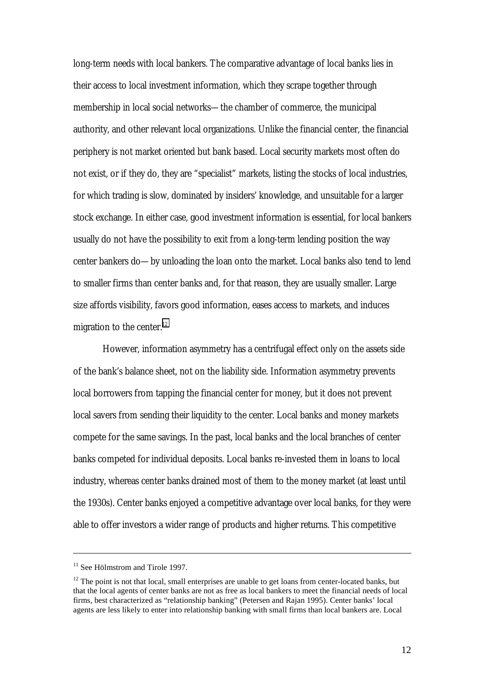long-term needs with local bankers. The comparative advantage of local banks lies in their access to local investment information, which they scrape together through membership in local social networks—the chamber of commerce, the municipal authority, and other relevant local organizations. Unlike the financial center, the financial periphery is not market oriented but bank based. Local security markets most often do not exist, or if they do, they are "specialist" markets, listing the stocks of local industries, for which trading is slow, dominated by insiders' knowledge, and unsuitable for a larger stock exchange. In either case, good investment information is essential, for local bankers usually do not have the possibility to exit from a long-term lending position the way center bankers do—by unloading the loan onto the market. Local banks also tend to lend to smaller firms than center banks and, for that reason, they are usually smaller. Large size affords visibility, favors good information, eases access to markets, and induces migration to the center. $12$ 

However, information asymmetry has a centrifugal effect only on the assets side of the bank's balance sheet, not on the liability side. Information asymmetry prevents local borrowers from tapping the financial center for money, but it does not prevent local savers from sending their liquidity to the center. Local banks and money markets compete for the same savings. In the past, local banks and the local branches of center banks competed for individual deposits. Local banks re-invested them in loans to local industry, whereas center banks drained most of them to the money market (at least until the 1930s). Center banks enjoyed a competitive advantage over local banks, for they were able to offer investors a wider range of products and higher returns. This competitive

<sup>&</sup>lt;sup>11</sup> See Hölmstrom and Tirole 1997.

 $12$  The point is not that local, small enterprises are unable to get loans from center-located banks, but that the local agents of center banks are not as free as local bankers to meet the financial needs of local firms, best characterized as "relationship banking" (Petersen and Rajan 1995). Center banks' local agents are less likely to enter into relationship banking with small firms than local bankers are. Local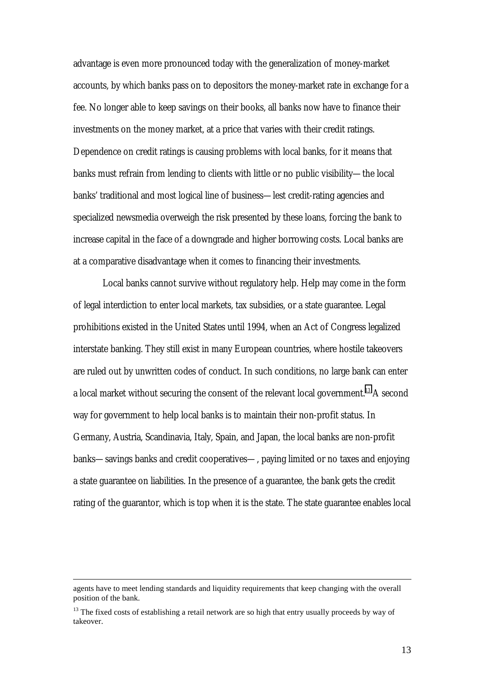advantage is even more pronounced today with the generalization of money-market accounts, by which banks pass on to depositors the money-market rate in exchange for a fee. No longer able to keep savings on their books, all banks now have to finance their investments on the money market, at a price that varies with their credit ratings. Dependence on credit ratings is causing problems with local banks, for it means that banks must refrain from lending to clients with little or no public visibility—the local banks' traditional and most logical line of business—lest credit-rating agencies and specialized newsmedia overweigh the risk presented by these loans, forcing the bank to increase capital in the face of a downgrade and higher borrowing costs. Local banks are at a comparative disadvantage when it comes to financing their investments.

Local banks cannot survive without regulatory help. Help may come in the form of legal interdiction to enter local markets, tax subsidies, or a state guarantee. Legal prohibitions existed in the United States until 1994, when an Act of Congress legalized interstate banking. They still exist in many European countries, where hostile takeovers are ruled out by unwritten codes of conduct. In such conditions, no large bank can enter a local market without securing the consent of the relevant local government.<sup>13</sup> A second way for government to help local banks is to maintain their non-profit status. In Germany, Austria, Scandinavia, Italy, Spain, and Japan, the local banks are non-profit banks—savings banks and credit cooperatives—, paying limited or no taxes and enjoying a state guarantee on liabilities. In the presence of a guarantee, the bank gets the credit rating of the guarantor, which is top when it is the state. The state guarantee enables local

agents have to meet lending standards and liquidity requirements that keep changing with the overall position of the bank.

 $13$  The fixed costs of establishing a retail network are so high that entry usually proceeds by way of takeover.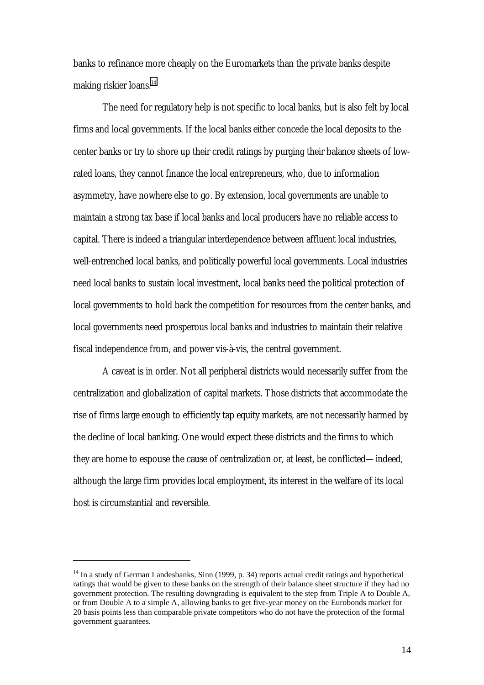banks to refinance more cheaply on the Euromarkets than the private banks despite making riskier loans.<sup>14</sup>

The need for regulatory help is not specific to local banks, but is also felt by local firms and local governments. If the local banks either concede the local deposits to the center banks or try to shore up their credit ratings by purging their balance sheets of lowrated loans, they cannot finance the local entrepreneurs, who, due to information asymmetry, have nowhere else to go. By extension, local governments are unable to maintain a strong tax base if local banks and local producers have no reliable access to capital. There is indeed a triangular interdependence between affluent local industries, well-entrenched local banks, and politically powerful local governments. Local industries need local banks to sustain local investment, local banks need the political protection of local governments to hold back the competition for resources from the center banks, and local governments need prosperous local banks and industries to maintain their relative fiscal independence from, and power vis-à-vis, the central government.

A caveat is in order. Not all peripheral districts would necessarily suffer from the centralization and globalization of capital markets. Those districts that accommodate the rise of firms large enough to efficiently tap equity markets, are not necessarily harmed by the decline of local banking. One would expect these districts and the firms to which they are home to espouse the cause of centralization or, at least, be conflicted—indeed, although the large firm provides local employment, its interest in the welfare of its local host is circumstantial and reversible.

<sup>&</sup>lt;sup>14</sup> In a study of German Landesbanks, Sinn (1999, p. 34) reports actual credit ratings and hypothetical ratings that would be given to these banks on the strength of their balance sheet structure if they had no government protection. The resulting downgrading is equivalent to the step from Triple A to Double A, or from Double A to a simple A, allowing banks to get five-year money on the Eurobonds market for 20 basis points less than comparable private competitors who do not have the protection of the formal government guarantees.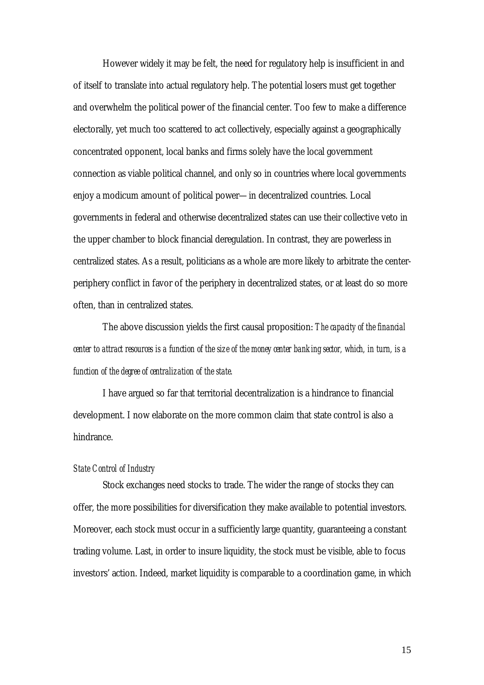However widely it may be felt, the need for regulatory help is insufficient in and of itself to translate into actual regulatory help. The potential losers must get together and overwhelm the political power of the financial center. Too few to make a difference electorally, yet much too scattered to act collectively, especially against a geographically concentrated opponent, local banks and firms solely have the local government connection as viable political channel, and only so in countries where local governments enjoy a modicum amount of political power—in decentralized countries. Local governments in federal and otherwise decentralized states can use their collective veto in the upper chamber to block financial deregulation. In contrast, they are powerless in centralized states. As a result, politicians as a whole are more likely to arbitrate the centerperiphery conflict in favor of the periphery in decentralized states, or at least do so more often, than in centralized states.

The above discussion yields the first causal proposition: *The capacity of the financial center to attract resources is a function of the size of the money center banking sector, which, in turn, is a function of the degree of centralization of the state.*

I have argued so far that territorial decentralization is a hindrance to financial development. I now elaborate on the more common claim that state control is also a hindrance.

#### *State Control of Industry*

Stock exchanges need stocks to trade. The wider the range of stocks they can offer, the more possibilities for diversification they make available to potential investors. Moreover, each stock must occur in a sufficiently large quantity, guaranteeing a constant trading volume. Last, in order to insure liquidity, the stock must be visible, able to focus investors' action. Indeed, market liquidity is comparable to a coordination game, in which

15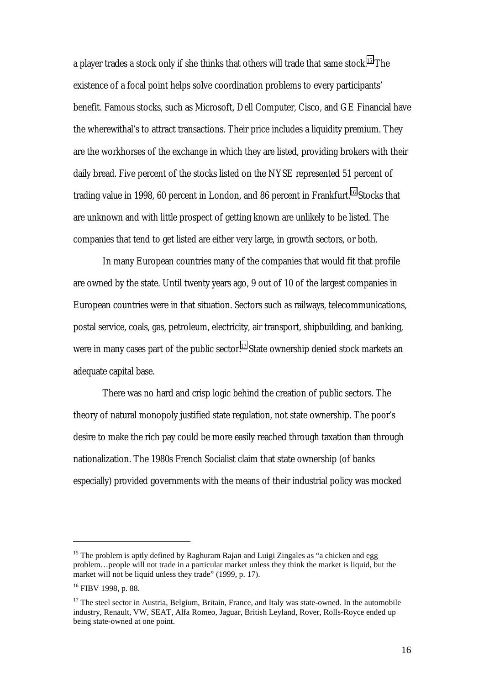a player trades a stock only if she thinks that others will trade that same stock.<sup>15</sup> The existence of a focal point helps solve coordination problems to every participants' benefit. Famous stocks, such as Microsoft, Dell Computer, Cisco, and GE Financial have the wherewithal's to attract transactions. Their price includes a liquidity premium. They are the workhorses of the exchange in which they are listed, providing brokers with their daily bread. Five percent of the stocks listed on the NYSE represented 51 percent of trading value in 1998, 60 percent in London, and 86 percent in Frankfurt.<sup>16</sup> Stocks that are unknown and with little prospect of getting known are unlikely to be listed. The companies that tend to get listed are either very large, in growth sectors, or both.

In many European countries many of the companies that would fit that profile are owned by the state. Until twenty years ago, 9 out of 10 of the largest companies in European countries were in that situation. Sectors such as railways, telecommunications, postal service, coals, gas, petroleum, electricity, air transport, shipbuilding, and banking, were in many cases part of the public sector.<sup>17</sup> State ownership denied stock markets an adequate capital base.

There was no hard and crisp logic behind the creation of public sectors. The theory of natural monopoly justified state regulation, not state ownership. The poor's desire to make the rich pay could be more easily reached through taxation than through nationalization. The 1980s French Socialist claim that state ownership (of banks especially) provided governments with the means of their industrial policy was mocked

<sup>&</sup>lt;sup>15</sup> The problem is aptly defined by Raghuram Rajan and Luigi Zingales as "a chicken and egg problem…people will not trade in a particular market unless they think the market is liquid, but the market will not be liquid unless they trade" (1999, p. 17).

<sup>16</sup> FIBV 1998, p. 88.

 $17$  The steel sector in Austria, Belgium, Britain, France, and Italy was state-owned. In the automobile industry, Renault, VW, SEAT, Alfa Romeo, Jaguar, British Leyland, Rover, Rolls-Royce ended up being state-owned at one point.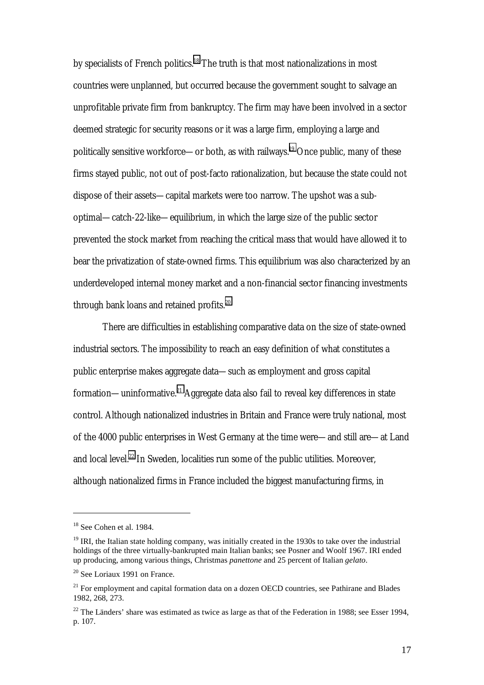by specialists of French politics.<sup>18</sup> The truth is that most nationalizations in most countries were unplanned, but occurred because the government sought to salvage an unprofitable private firm from bankruptcy. The firm may have been involved in a sector deemed strategic for security reasons or it was a large firm, employing a large and politically sensitive workforce—or both, as with railways.<sup>19</sup> Once public, many of these firms stayed public, not out of post-facto rationalization, but because the state could not dispose of their assets—capital markets were too narrow. The upshot was a suboptimal—catch-22-like—equilibrium, in which the large size of the public sector prevented the stock market from reaching the critical mass that would have allowed it to bear the privatization of state-owned firms. This equilibrium was also characterized by an underdeveloped internal money market and a non-financial sector financing investments through bank loans and retained profits.<sup>20</sup>

There are difficulties in establishing comparative data on the size of state-owned industrial sectors. The impossibility to reach an easy definition of what constitutes a public enterprise makes aggregate data—such as employment and gross capital formation—uninformative.21 Aggregate data also fail to reveal key differences in state control. Although nationalized industries in Britain and France were truly national, most of the 4000 public enterprises in West Germany at the time were—and still are—at Land and local level.<sup>22</sup> In Sweden, localities run some of the public utilities. Moreover, although nationalized firms in France included the biggest manufacturing firms, in

<sup>&</sup>lt;sup>18</sup> See Cohen et al. 1984.

 $19$  IRI, the Italian state holding company, was initially created in the 1930s to take over the industrial holdings of the three virtually-bankrupted main Italian banks; see Posner and Woolf 1967. IRI ended up producing, among various things, Christmas *panettone* and 25 percent of Italian *gelato*.

<sup>20</sup> See Loriaux 1991 on France.

<sup>&</sup>lt;sup>21</sup> For employment and capital formation data on a dozen OECD countries, see Pathirane and Blades 1982, 268, 273.

 $22$  The Länders' share was estimated as twice as large as that of the Federation in 1988; see Esser 1994, p. 107.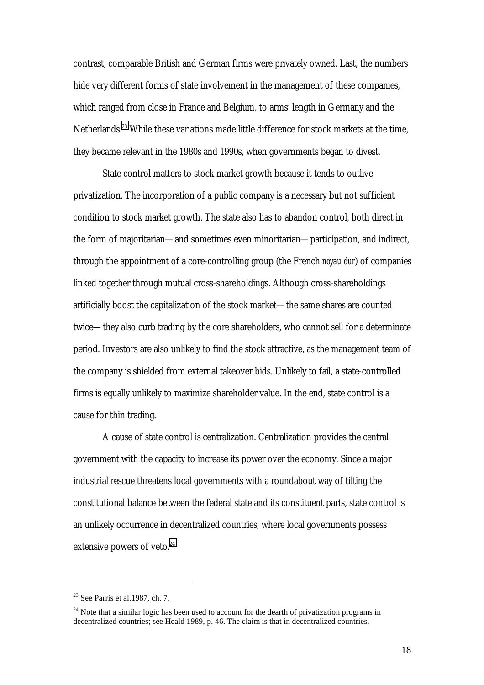contrast, comparable British and German firms were privately owned. Last, the numbers hide very different forms of state involvement in the management of these companies, which ranged from close in France and Belgium, to arms' length in Germany and the Netherlands.<sup>23</sup> While these variations made little difference for stock markets at the time, they became relevant in the 1980s and 1990s, when governments began to divest.

State control matters to stock market growth because it tends to outlive privatization. The incorporation of a public company is a necessary but not sufficient condition to stock market growth. The state also has to abandon control, both direct in the form of majoritarian—and sometimes even minoritarian—participation, and indirect, through the appointment of a core-controlling group (the French *noyau dur*) of companies linked together through mutual cross-shareholdings. Although cross-shareholdings artificially boost the capitalization of the stock market—the same shares are counted twice—they also curb trading by the core shareholders, who cannot sell for a determinate period. Investors are also unlikely to find the stock attractive, as the management team of the company is shielded from external takeover bids. Unlikely to fail, a state-controlled firms is equally unlikely to maximize shareholder value. In the end, state control is a cause for thin trading.

A cause of state control is centralization. Centralization provides the central government with the capacity to increase its power over the economy. Since a major industrial rescue threatens local governments with a roundabout way of tilting the constitutional balance between the federal state and its constituent parts, state control is an unlikely occurrence in decentralized countries, where local governments possess extensive powers of veto.<sup>24</sup>

 $23$  See Parris et al.1987, ch. 7.

 $24$  Note that a similar logic has been used to account for the dearth of privatization programs in decentralized countries; see Heald 1989, p. 46. The claim is that in decentralized countries,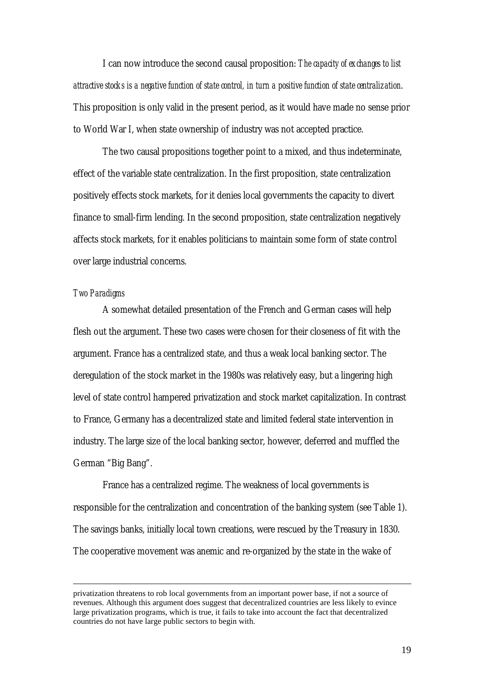I can now introduce the second causal proposition: *The capacity of exchanges to list attractive stocks is a negative function of state control, in turn a positive function of state centralization*. This proposition is only valid in the present period, as it would have made no sense prior to World War I, when state ownership of industry was not accepted practice.

The two causal propositions together point to a mixed, and thus indeterminate, effect of the variable state centralization. In the first proposition, state centralization positively effects stock markets, for it denies local governments the capacity to divert finance to small-firm lending. In the second proposition, state centralization negatively affects stock markets, for it enables politicians to maintain some form of state control over large industrial concerns.

#### *Two Paradigms*

 $\overline{a}$ 

A somewhat detailed presentation of the French and German cases will help flesh out the argument. These two cases were chosen for their closeness of fit with the argument. France has a centralized state, and thus a weak local banking sector. The deregulation of the stock market in the 1980s was relatively easy, but a lingering high level of state control hampered privatization and stock market capitalization. In contrast to France, Germany has a decentralized state and limited federal state intervention in industry. The large size of the local banking sector, however, deferred and muffled the German "Big Bang".

France has a centralized regime. The weakness of local governments is responsible for the centralization and concentration of the banking system (see Table 1). The savings banks, initially local town creations, were rescued by the Treasury in 1830. The cooperative movement was anemic and re-organized by the state in the wake of

privatization threatens to rob local governments from an important power base, if not a source of revenues. Although this argument does suggest that decentralized countries are less likely to evince large privatization programs, which is true, it fails to take into account the fact that decentralized countries do not have large public sectors to begin with.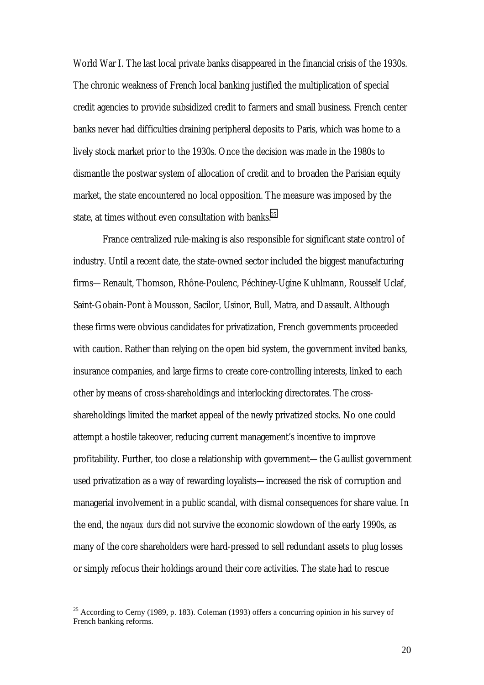World War I. The last local private banks disappeared in the financial crisis of the 1930s. The chronic weakness of French local banking justified the multiplication of special credit agencies to provide subsidized credit to farmers and small business. French center banks never had difficulties draining peripheral deposits to Paris, which was home to a lively stock market prior to the 1930s. Once the decision was made in the 1980s to dismantle the postwar system of allocation of credit and to broaden the Parisian equity market, the state encountered no local opposition. The measure was imposed by the state, at times without even consultation with banks.<sup>25</sup>

France centralized rule-making is also responsible for significant state control of industry. Until a recent date, the state-owned sector included the biggest manufacturing firms—Renault, Thomson, Rhône-Poulenc, Péchiney-Ugine Kuhlmann, Rousself Uclaf, Saint-Gobain-Pont à Mousson, Sacilor, Usinor, Bull, Matra, and Dassault. Although these firms were obvious candidates for privatization, French governments proceeded with caution. Rather than relying on the open bid system, the government invited banks, insurance companies, and large firms to create core-controlling interests, linked to each other by means of cross-shareholdings and interlocking directorates. The crossshareholdings limited the market appeal of the newly privatized stocks. No one could attempt a hostile takeover, reducing current management's incentive to improve profitability. Further, too close a relationship with government—the Gaullist government used privatization as a way of rewarding loyalists—increased the risk of corruption and managerial involvement in a public scandal, with dismal consequences for share value. In the end, the *noyaux durs* did not survive the economic slowdown of the early 1990s, as many of the core shareholders were hard-pressed to sell redundant assets to plug losses or simply refocus their holdings around their core activities. The state had to rescue

<sup>&</sup>lt;sup>25</sup> According to Cerny (1989, p. 183). Coleman (1993) offers a concurring opinion in his survey of French banking reforms.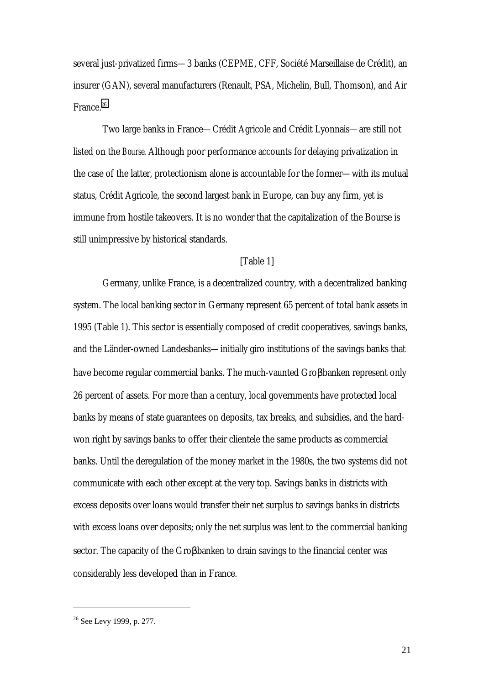several just-privatized firms—3 banks (CEPME, CFF, Société Marseillaise de Crédit), an insurer (GAN), several manufacturers (Renault, PSA, Michelin, Bull, Thomson), and Air France.<sup>26</sup>

Two large banks in France—Crédit Agricole and Crédit Lyonnais—are still not listed on the *Bourse*. Although poor performance accounts for delaying privatization in the case of the latter, protectionism alone is accountable for the former—with its mutual status, Crédit Agricole, the second largest bank in Europe, can buy any firm, yet is immune from hostile takeovers. It is no wonder that the capitalization of the Bourse is still unimpressive by historical standards.

#### [Table 1]

Germany, unlike France, is a decentralized country, with a decentralized banking system. The local banking sector in Germany represent 65 percent of total bank assets in 1995 (Table 1). This sector is essentially composed of credit cooperatives, savings banks, and the Länder-owned Landesbanks—initially giro institutions of the savings banks that have become regular commercial banks. The much-vaunted Groβbanken represent only 26 percent of assets. For more than a century, local governments have protected local banks by means of state guarantees on deposits, tax breaks, and subsidies, and the hardwon right by savings banks to offer their clientele the same products as commercial banks. Until the deregulation of the money market in the 1980s, the two systems did not communicate with each other except at the very top. Savings banks in districts with excess deposits over loans would transfer their net surplus to savings banks in districts with excess loans over deposits; only the net surplus was lent to the commercial banking sector. The capacity of the Groβbanken to drain savings to the financial center was considerably less developed than in France.

 $\overline{a}$ 

21

<sup>&</sup>lt;sup>26</sup> See Levy 1999, p. 277.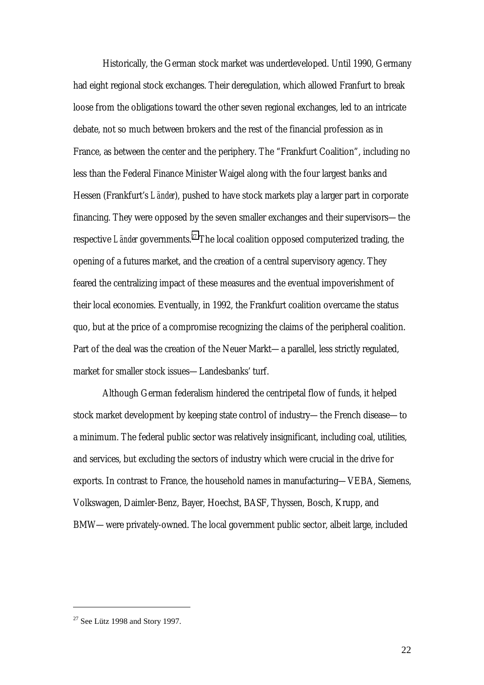Historically, the German stock market was underdeveloped. Until 1990, Germany had eight regional stock exchanges. Their deregulation, which allowed Franfurt to break loose from the obligations toward the other seven regional exchanges, led to an intricate debate, not so much between brokers and the rest of the financial profession as in France, as between the center and the periphery. The "Frankfurt Coalition", including no less than the Federal Finance Minister Waigel along with the four largest banks and Hessen (Frankfurt's *Länder*), pushed to have stock markets play a larger part in corporate financing. They were opposed by the seven smaller exchanges and their supervisors—the respective *Länder* governments.<sup>27</sup> The local coalition opposed computerized trading, the opening of a futures market, and the creation of a central supervisory agency. They feared the centralizing impact of these measures and the eventual impoverishment of their local economies. Eventually, in 1992, the Frankfurt coalition overcame the status quo, but at the price of a compromise recognizing the claims of the peripheral coalition. Part of the deal was the creation of the Neuer Markt—a parallel, less strictly regulated, market for smaller stock issues—Landesbanks' turf.

Although German federalism hindered the centripetal flow of funds, it helped stock market development by keeping state control of industry—the French disease—to a minimum. The federal public sector was relatively insignificant, including coal, utilities, and services, but excluding the sectors of industry which were crucial in the drive for exports. In contrast to France, the household names in manufacturing—VEBA, Siemens, Volkswagen, Daimler-Benz, Bayer, Hoechst, BASF, Thyssen, Bosch, Krupp, and BMW—were privately-owned. The local government public sector, albeit large, included

 $27$  See Lütz 1998 and Story 1997.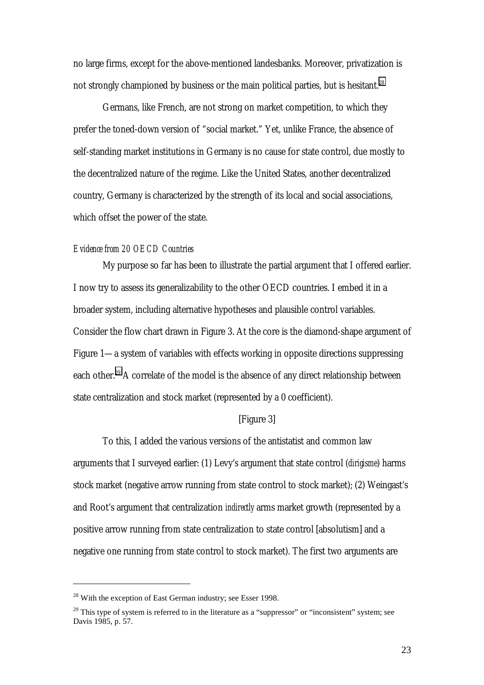no large firms, except for the above-mentioned landesbanks. Moreover, privatization is not strongly championed by business or the main political parties, but is hesitant.<sup>28</sup>

Germans, like French, are not strong on market competition, to which they prefer the toned-down version of "social market." Yet, unlike France, the absence of self-standing market institutions in Germany is no cause for state control, due mostly to the decentralized nature of the regime. Like the United States, another decentralized country, Germany is characterized by the strength of its local and social associations, which offset the power of the state.

#### *Evidence from 20 OECD Countries*

My purpose so far has been to illustrate the partial argument that I offered earlier. I now try to assess its generalizability to the other OECD countries. I embed it in a broader system, including alternative hypotheses and plausible control variables. Consider the flow chart drawn in Figure 3. At the core is the diamond-shape argument of Figure 1—a system of variables with effects working in opposite directions suppressing each other.<sup>29</sup> A correlate of the model is the absence of any direct relationship between state centralization and stock market (represented by a 0 coefficient).

#### [Figure 3]

To this, I added the various versions of the antistatist and common law arguments that I surveyed earlier: (1) Levy's argument that state control (*dirigisme*) harms stock market (negative arrow running from state control to stock market); (2) Weingast's and Root's argument that centralization *indirectly* arms market growth (represented by a positive arrow running from state centralization to state control [absolutism] and a negative one running from state control to stock market). The first two arguments are

 $^{28}$  With the exception of East German industry; see Esser 1998.

 $29$  This type of system is referred to in the literature as a "suppressor" or "inconsistent" system; see Davis 1985, p. 57.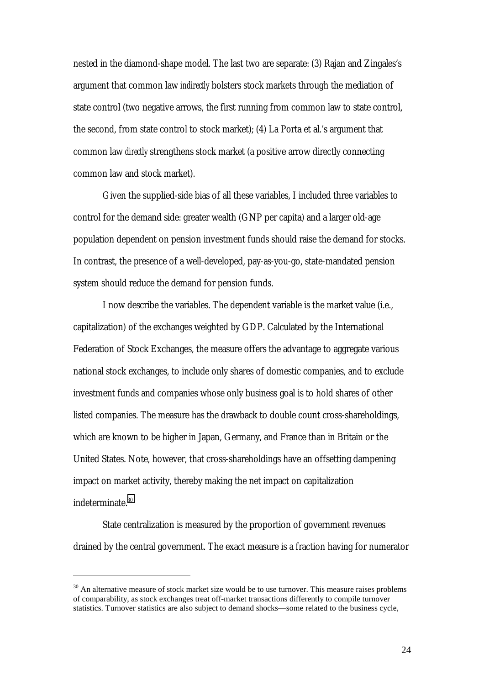nested in the diamond-shape model. The last two are separate: (3) Rajan and Zingales's argument that common law *indirectly* bolsters stock markets through the mediation of state control (two negative arrows, the first running from common law to state control, the second, from state control to stock market); (4) La Porta et al.'s argument that common law *directly* strengthens stock market (a positive arrow directly connecting common law and stock market).

Given the supplied-side bias of all these variables, I included three variables to control for the demand side: greater wealth (GNP per capita) and a larger old-age population dependent on pension investment funds should raise the demand for stocks. In contrast, the presence of a well-developed, pay-as-you-go, state-mandated pension system should reduce the demand for pension funds.

I now describe the variables. The dependent variable is the market value (i.e., capitalization) of the exchanges weighted by GDP. Calculated by the International Federation of Stock Exchanges, the measure offers the advantage to aggregate various national stock exchanges, to include only shares of domestic companies, and to exclude investment funds and companies whose only business goal is to hold shares of other listed companies. The measure has the drawback to double count cross-shareholdings, which are known to be higher in Japan, Germany, and France than in Britain or the United States. Note, however, that cross-shareholdings have an offsetting dampening impact on market activity, thereby making the net impact on capitalization indeterminate.<sup>30</sup>

State centralization is measured by the proportion of government revenues drained by the central government. The exact measure is a fraction having for numerator

<sup>&</sup>lt;sup>30</sup> An alternative measure of stock market size would be to use turnover. This measure raises problems of comparability, as stock exchanges treat off-market transactions differently to compile turnover statistics. Turnover statistics are also subject to demand shocks—some related to the business cycle,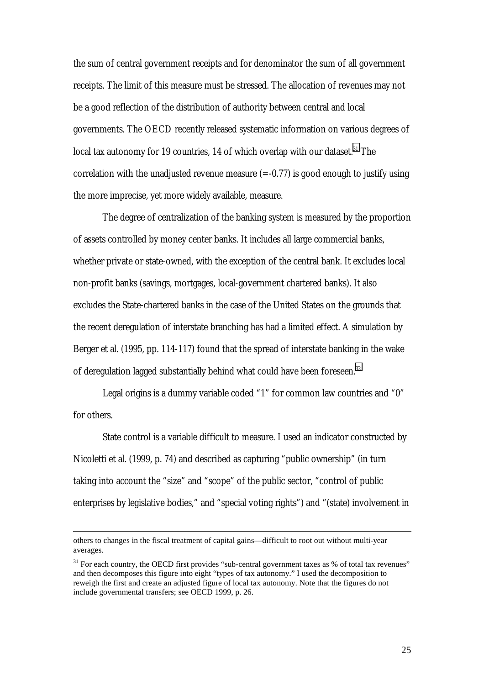the sum of central government receipts and for denominator the sum of all government receipts. The limit of this measure must be stressed. The allocation of revenues may not be a good reflection of the distribution of authority between central and local governments. The OECD recently released systematic information on various degrees of local tax autonomy for 19 countries, 14 of which overlap with our dataset.<sup>31</sup> The correlation with the unadjusted revenue measure  $(=-0.77)$  is good enough to justify using the more imprecise, yet more widely available, measure.

The degree of centralization of the banking system is measured by the proportion of assets controlled by money center banks. It includes all large commercial banks, whether private or state-owned, with the exception of the central bank. It excludes local non-profit banks (savings, mortgages, local-government chartered banks). It also excludes the State-chartered banks in the case of the United States on the grounds that the recent deregulation of interstate branching has had a limited effect. A simulation by Berger et al. (1995, pp. 114-117) found that the spread of interstate banking in the wake of deregulation lagged substantially behind what could have been foreseen.<sup>32</sup>

Legal origins is a dummy variable coded "1" for common law countries and "0" for others.

State control is a variable difficult to measure. I used an indicator constructed by Nicoletti et al. (1999, p. 74) and described as capturing "public ownership" (in turn taking into account the "size" and "scope" of the public sector, "control of public enterprises by legislative bodies," and "special voting rights") and "(state) involvement in

others to changes in the fiscal treatment of capital gains—difficult to root out without multi-year averages.

 $31$  For each country, the OECD first provides "sub-central government taxes as % of total tax revenues" and then decomposes this figure into eight "types of tax autonomy." I used the decomposition to reweigh the first and create an adjusted figure of local tax autonomy. Note that the figures do not include governmental transfers; see OECD 1999, p. 26.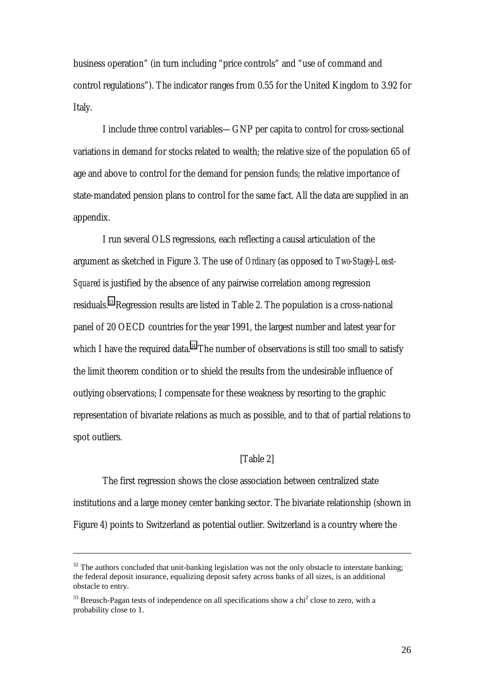business operation" (in turn including "price controls" and "use of command and control regulations"). The indicator ranges from 0.55 for the United Kingdom to 3.92 for Italy.

I include three control variables—GNP per capita to control for cross-sectional variations in demand for stocks related to wealth; the relative size of the population 65 of age and above to control for the demand for pension funds; the relative importance of state-mandated pension plans to control for the same fact. All the data are supplied in an appendix.

I run several OLS regressions, each reflecting a causal articulation of the argument as sketched in Figure 3. The use of *Ordinary* (as opposed to *Two-Stage*)*-Least-Squared* is justified by the absence of any pairwise correlation among regression residuals.33 Regression results are listed in Table 2. The population is a cross-national panel of 20 OECD countries for the year 1991, the largest number and latest year for which I have the required data. $34$  The number of observations is still too small to satisfy the limit theorem condition or to shield the results from the undesirable influence of outlying observations; I compensate for these weakness by resorting to the graphic representation of bivariate relations as much as possible, and to that of partial relations to spot outliers.

#### [Table 2]

The first regression shows the close association between centralized state institutions and a large money center banking sector. The bivariate relationship (shown in Figure 4) points to Switzerland as potential outlier. Switzerland is a country where the

 $32$  The authors concluded that unit-banking legislation was not the only obstacle to interstate banking; the federal deposit insurance, equalizing deposit safety across banks of all sizes, is an additional obstacle to entry.

 $33$  Breusch-Pagan tests of independence on all specifications show a chi<sup>2</sup> close to zero, with a probability close to 1.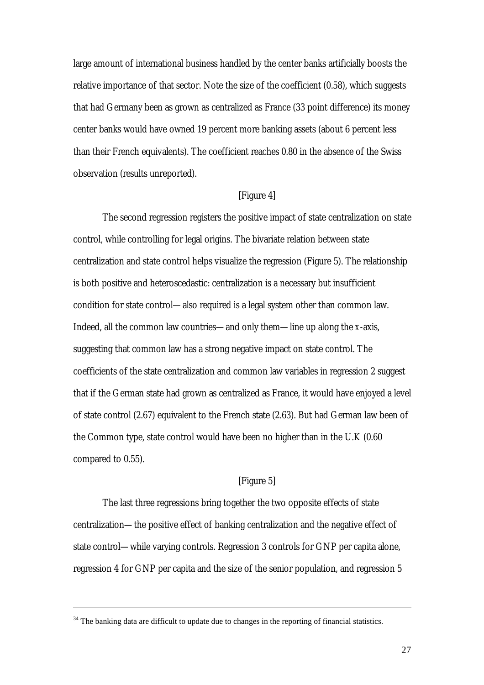large amount of international business handled by the center banks artificially boosts the relative importance of that sector. Note the size of the coefficient (0.58), which suggests that had Germany been as grown as centralized as France (33 point difference) its money center banks would have owned 19 percent more banking assets (about 6 percent less than their French equivalents). The coefficient reaches 0.80 in the absence of the Swiss observation (results unreported).

#### [Figure 4]

The second regression registers the positive impact of state centralization on state control, while controlling for legal origins. The bivariate relation between state centralization and state control helps visualize the regression (Figure 5). The relationship is both positive and heteroscedastic: centralization is a necessary but insufficient condition for state control—also required is a legal system other than common law. Indeed, all the common law countries—and only them—line up along the *x*-axis, suggesting that common law has a strong negative impact on state control. The coefficients of the state centralization and common law variables in regression 2 suggest that if the German state had grown as centralized as France, it would have enjoyed a level of state control (2.67) equivalent to the French state (2.63). But had German law been of the Common type, state control would have been no higher than in the U.K (0.60 compared to 0.55).

#### [Figure 5]

The last three regressions bring together the two opposite effects of state centralization—the positive effect of banking centralization and the negative effect of state control—while varying controls. Regression 3 controls for GNP per capita alone, regression 4 for GNP per capita and the size of the senior population, and regression 5

<sup>&</sup>lt;sup>34</sup> The banking data are difficult to update due to changes in the reporting of financial statistics.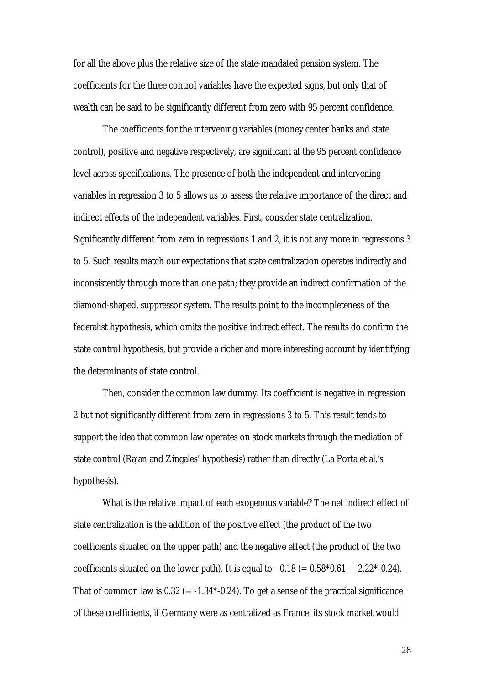for all the above plus the relative size of the state-mandated pension system. The coefficients for the three control variables have the expected signs, but only that of wealth can be said to be significantly different from zero with 95 percent confidence.

The coefficients for the intervening variables (money center banks and state control), positive and negative respectively, are significant at the 95 percent confidence level across specifications. The presence of both the independent and intervening variables in regression 3 to 5 allows us to assess the relative importance of the direct and indirect effects of the independent variables. First, consider state centralization. Significantly different from zero in regressions 1 and 2, it is not any more in regressions 3 to 5. Such results match our expectations that state centralization operates indirectly and inconsistently through more than one path; they provide an indirect confirmation of the diamond-shaped, suppressor system. The results point to the incompleteness of the federalist hypothesis, which omits the positive indirect effect. The results do confirm the state control hypothesis, but provide a richer and more interesting account by identifying the determinants of state control.

Then, consider the common law dummy. Its coefficient is negative in regression 2 but not significantly different from zero in regressions 3 to 5. This result tends to support the idea that common law operates on stock markets through the mediation of state control (Rajan and Zingales' hypothesis) rather than directly (La Porta et al.'s hypothesis).

What is the relative impact of each exogenous variable? The net indirect effect of state centralization is the addition of the positive effect (the product of the two coefficients situated on the upper path) and the negative effect (the product of the two coefficients situated on the lower path). It is equal to  $-0.18 (= 0.58*0.61 - 2.22*-0.24)$ . That of common law is  $0.32$  (= -1.34\*-0.24). To get a sense of the practical significance of these coefficients, if Germany were as centralized as France, its stock market would

28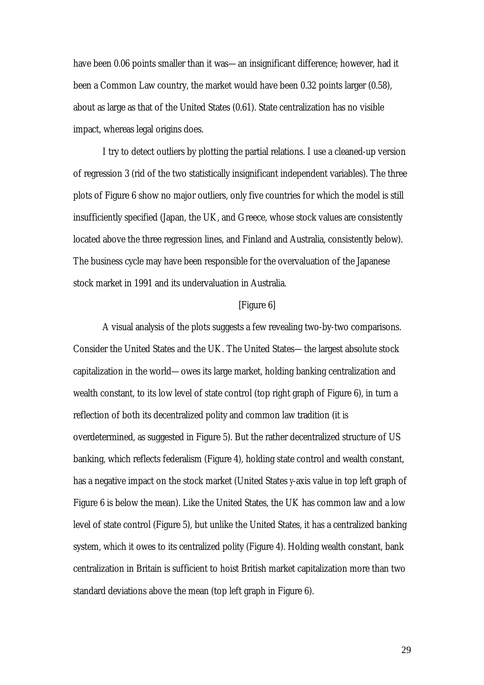have been 0.06 points smaller than it was—an insignificant difference; however, had it been a Common Law country, the market would have been 0.32 points larger (0.58), about as large as that of the United States (0.61). State centralization has no visible impact, whereas legal origins does.

I try to detect outliers by plotting the partial relations. I use a cleaned-up version of regression 3 (rid of the two statistically insignificant independent variables). The three plots of Figure 6 show no major outliers, only five countries for which the model is still insufficiently specified (Japan, the UK, and Greece, whose stock values are consistently located above the three regression lines, and Finland and Australia, consistently below). The business cycle may have been responsible for the overvaluation of the Japanese stock market in 1991 and its undervaluation in Australia.

#### [Figure 6]

A visual analysis of the plots suggests a few revealing two-by-two comparisons. Consider the United States and the UK. The United States—the largest absolute stock capitalization in the world—owes its large market, holding banking centralization and wealth constant, to its low level of state control (top right graph of Figure 6), in turn a reflection of both its decentralized polity and common law tradition (it is overdetermined, as suggested in Figure 5). But the rather decentralized structure of US banking, which reflects federalism (Figure 4), holding state control and wealth constant, has a negative impact on the stock market (United States *y*-axis value in top left graph of Figure 6 is below the mean). Like the United States, the UK has common law and a low level of state control (Figure 5), but unlike the United States, it has a centralized banking system, which it owes to its centralized polity (Figure 4). Holding wealth constant, bank centralization in Britain is sufficient to hoist British market capitalization more than two standard deviations above the mean (top left graph in Figure 6).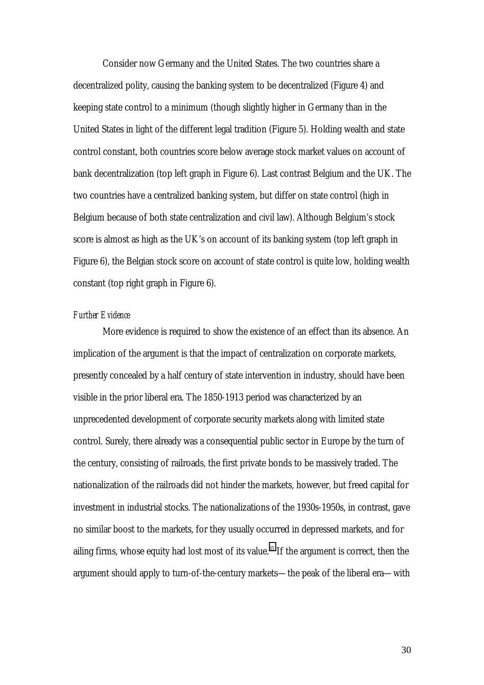Consider now Germany and the United States. The two countries share a decentralized polity, causing the banking system to be decentralized (Figure 4) and keeping state control to a minimum (though slightly higher in Germany than in the United States in light of the different legal tradition (Figure 5). Holding wealth and state control constant, both countries score below average stock market values on account of bank decentralization (top left graph in Figure 6). Last contrast Belgium and the UK. The two countries have a centralized banking system, but differ on state control (high in Belgium because of both state centralization and civil law). Although Belgium's stock score is almost as high as the UK's on account of its banking system (top left graph in Figure 6), the Belgian stock score on account of state control is quite low, holding wealth constant (top right graph in Figure 6).

#### *Further Evidence*

More evidence is required to show the existence of an effect than its absence. An implication of the argument is that the impact of centralization on corporate markets, presently concealed by a half century of state intervention in industry, should have been visible in the prior liberal era. The 1850-1913 period was characterized by an unprecedented development of corporate security markets along with limited state control. Surely, there already was a consequential public sector in Europe by the turn of the century, consisting of railroads, the first private bonds to be massively traded. The nationalization of the railroads did not hinder the markets, however, but freed capital for investment in industrial stocks. The nationalizations of the 1930s-1950s, in contrast, gave no similar boost to the markets, for they usually occurred in depressed markets, and for ailing firms, whose equity had lost most of its value.<sup>35</sup> If the argument is correct, then the argument should apply to turn-of-the-century markets—the peak of the liberal era—with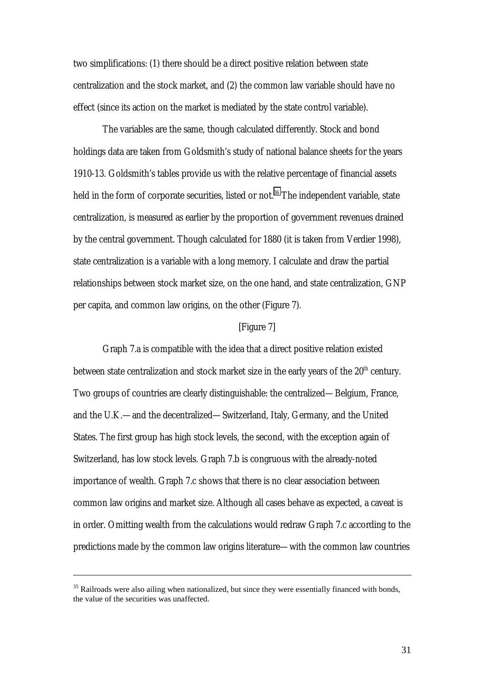two simplifications: (1) there should be a direct positive relation between state centralization and the stock market, and (2) the common law variable should have no effect (since its action on the market is mediated by the state control variable).

The variables are the same, though calculated differently. Stock and bond holdings data are taken from Goldsmith's study of national balance sheets for the years 1910-13. Goldsmith's tables provide us with the relative percentage of financial assets held in the form of corporate securities, listed or not.<sup>36</sup> The independent variable, state centralization, is measured as earlier by the proportion of government revenues drained by the central government. Though calculated for 1880 (it is taken from Verdier 1998), state centralization is a variable with a long memory. I calculate and draw the partial relationships between stock market size, on the one hand, and state centralization, GNP per capita, and common law origins, on the other (Figure 7).

#### [Figure 7]

Graph 7.a is compatible with the idea that a direct positive relation existed between state centralization and stock market size in the early years of the  $20<sup>th</sup>$  century. Two groups of countries are clearly distinguishable: the centralized—Belgium, France, and the U.K.—and the decentralized—Switzerland, Italy, Germany, and the United States. The first group has high stock levels, the second, with the exception again of Switzerland, has low stock levels. Graph 7.b is congruous with the already-noted importance of wealth. Graph 7.c shows that there is no clear association between common law origins and market size. Although all cases behave as expected, a caveat is in order. Omitting wealth from the calculations would redraw Graph 7.c according to the predictions made by the common law origins literature—with the common law countries

<sup>&</sup>lt;sup>35</sup> Railroads were also ailing when nationalized, but since they were essentially financed with bonds, the value of the securities was unaffected.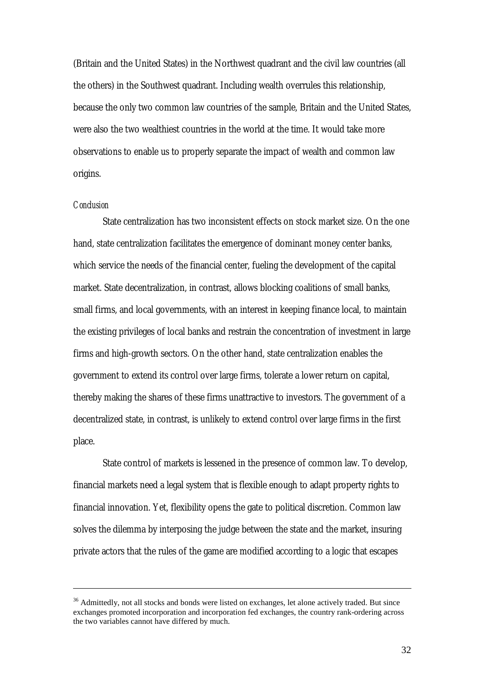(Britain and the United States) in the Northwest quadrant and the civil law countries (all the others) in the Southwest quadrant. Including wealth overrules this relationship, because the only two common law countries of the sample, Britain and the United States, were also the two wealthiest countries in the world at the time. It would take more observations to enable us to properly separate the impact of wealth and common law origins.

#### *Conclusion*

 $\overline{a}$ 

State centralization has two inconsistent effects on stock market size. On the one hand, state centralization facilitates the emergence of dominant money center banks, which service the needs of the financial center, fueling the development of the capital market. State decentralization, in contrast, allows blocking coalitions of small banks, small firms, and local governments, with an interest in keeping finance local, to maintain the existing privileges of local banks and restrain the concentration of investment in large firms and high-growth sectors. On the other hand, state centralization enables the government to extend its control over large firms, tolerate a lower return on capital, thereby making the shares of these firms unattractive to investors. The government of a decentralized state, in contrast, is unlikely to extend control over large firms in the first place.

State control of markets is lessened in the presence of common law. To develop, financial markets need a legal system that is flexible enough to adapt property rights to financial innovation. Yet, flexibility opens the gate to political discretion. Common law solves the dilemma by interposing the judge between the state and the market, insuring private actors that the rules of the game are modified according to a logic that escapes

<sup>&</sup>lt;sup>36</sup> Admittedly, not all stocks and bonds were listed on exchanges, let alone actively traded. But since exchanges promoted incorporation and incorporation fed exchanges, the country rank-ordering across the two variables cannot have differed by much.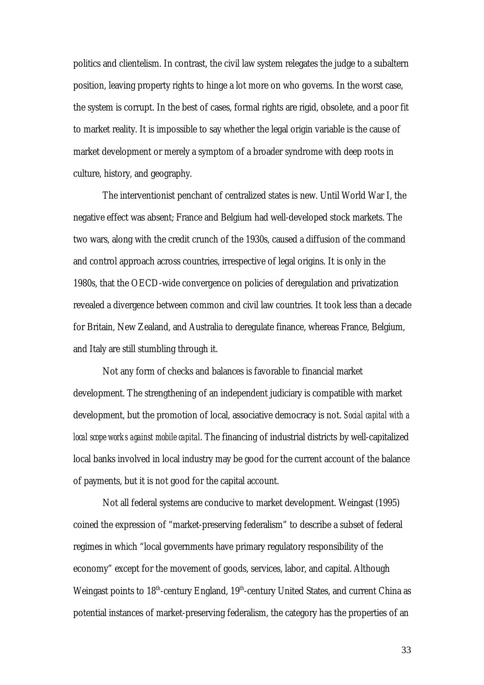politics and clientelism. In contrast, the civil law system relegates the judge to a subaltern position, leaving property rights to hinge a lot more on who governs. In the worst case, the system is corrupt. In the best of cases, formal rights are rigid, obsolete, and a poor fit to market reality. It is impossible to say whether the legal origin variable is the cause of market development or merely a symptom of a broader syndrome with deep roots in culture, history, and geography.

The interventionist penchant of centralized states is new. Until World War I, the negative effect was absent; France and Belgium had well-developed stock markets. The two wars, along with the credit crunch of the 1930s, caused a diffusion of the command and control approach across countries, irrespective of legal origins. It is only in the 1980s, that the OECD-wide convergence on policies of deregulation and privatization revealed a divergence between common and civil law countries. It took less than a decade for Britain, New Zealand, and Australia to deregulate finance, whereas France, Belgium, and Italy are still stumbling through it.

Not any form of checks and balances is favorable to financial market development. The strengthening of an independent judiciary is compatible with market development, but the promotion of local, associative democracy is not. *Social capital with a local scope works against mobile capital*. The financing of industrial districts by well-capitalized local banks involved in local industry may be good for the current account of the balance of payments, but it is not good for the capital account.

Not all federal systems are conducive to market development. Weingast (1995) coined the expression of "market-preserving federalism" to describe a subset of federal regimes in which "local governments have primary regulatory responsibility of the economy" except for the movement of goods, services, labor, and capital. Although Weingast points to 18<sup>th</sup>-century England, 19<sup>th</sup>-century United States, and current China as potential instances of market-preserving federalism, the category has the properties of an

33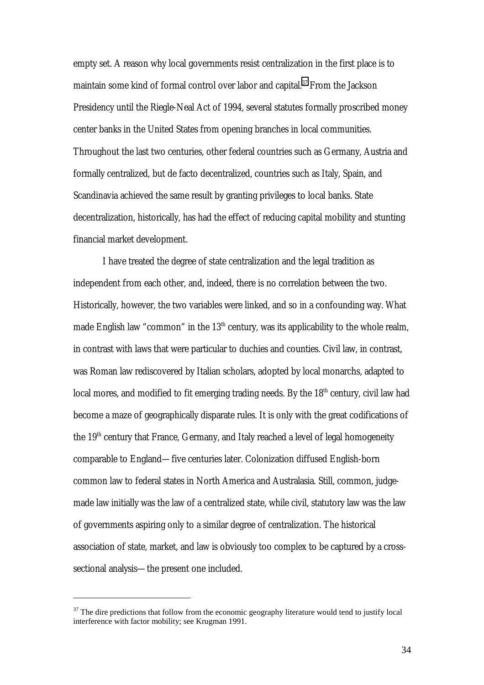empty set. A reason why local governments resist centralization in the first place is to maintain some kind of formal control over labor and capital.<sup>37</sup> From the Jackson Presidency until the Riegle-Neal Act of 1994, several statutes formally proscribed money center banks in the United States from opening branches in local communities. Throughout the last two centuries, other federal countries such as Germany, Austria and formally centralized, but de facto decentralized, countries such as Italy, Spain, and Scandinavia achieved the same result by granting privileges to local banks. State decentralization, historically, has had the effect of reducing capital mobility and stunting financial market development.

I have treated the degree of state centralization and the legal tradition as independent from each other, and, indeed, there is no correlation between the two. Historically, however, the two variables were linked, and so in a confounding way. What made English law "common" in the  $13<sup>th</sup>$  century, was its applicability to the whole realm, in contrast with laws that were particular to duchies and counties. Civil law, in contrast, was Roman law rediscovered by Italian scholars, adopted by local monarchs, adapted to local mores, and modified to fit emerging trading needs. By the  $18<sup>th</sup>$  century, civil law had become a maze of geographically disparate rules. It is only with the great codifications of the 19<sup>th</sup> century that France, Germany, and Italy reached a level of legal homogeneity comparable to England—five centuries later. Colonization diffused English-born common law to federal states in North America and Australasia. Still, common, judgemade law initially was the law of a centralized state, while civil, statutory law was the law of governments aspiring only to a similar degree of centralization. The historical association of state, market, and law is obviously too complex to be captured by a crosssectional analysis—the present one included.

 $37$  The dire predictions that follow from the economic geography literature would tend to justify local interference with factor mobility; see Krugman 1991.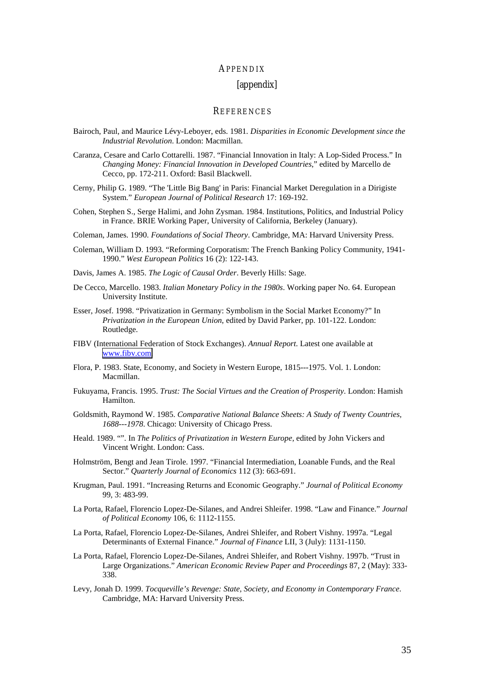#### APPENDIX

#### [appendix]

#### **REFERENCES**

- Bairoch, Paul, and Maurice Lévy-Leboyer, eds. 1981*. Disparities in Economic Development since the Industrial Revolution*. London: Macmillan.
- Caranza, Cesare and Carlo Cottarelli. 1987. "Financial Innovation in Italy: A Lop-Sided Process." In *Changing Money: Financial Innovation in Developed Countries*," edited by Marcello de Cecco, pp. 172-211. Oxford: Basil Blackwell.
- Cerny, Philip G. 1989. "The 'Little Big Bang' in Paris: Financial Market Deregulation in a Dirigiste System." *European Journal of Political Research* 17: 169-192.
- Cohen, Stephen S., Serge Halimi, and John Zysman. 1984. Institutions, Politics, and Industrial Policy in France. BRIE Working Paper, University of California, Berkeley (January).
- Coleman, James. 1990. *Foundations of Social Theory*. Cambridge, MA: Harvard University Press.
- Coleman, William D. 1993. "Reforming Corporatism: The French Banking Policy Community, 1941- 1990." *West European Politics* 16 (2): 122-143.

Davis, James A. 1985. *The Logic of Causal Order*. Beverly Hills: Sage.

- De Cecco, Marcello. 1983. *Italian Monetary Policy in the 1980s*. Working paper No. 64. European University Institute.
- Esser, Josef. 1998. "Privatization in Germany: Symbolism in the Social Market Economy?" In *Privatization in the European Union*, edited by David Parker, pp. 101-122. London: Routledge.
- FIBV (International Federation of Stock Exchanges). *Annual Report*. Latest one available at [www.fibv.com.](http://www.fibv.com)
- Flora, P. 1983. State, Economy, and Society in Western Europe, 1815---1975. Vol. 1. London: Macmillan.
- Fukuyama, Francis. 1995. *Trust: The Social Virtues and the Creation of Prosperity*. London: Hamish Hamilton.
- Goldsmith, Raymond W. 1985. *Comparative National Balance Sheets: A Study of Twenty Countries, 1688---1978*. Chicago: University of Chicago Press.
- Heald. 1989. "". In *The Politics of Privatization in Western Europe,* edited by John Vickers and Vincent Wright. London: Cass.
- Holmström, Bengt and Jean Tirole. 1997. "Financial Intermediation, Loanable Funds, and the Real Sector." *Quarterly Journal of Economics* 112 (3): 663-691.
- Krugman, Paul. 1991. "Increasing Returns and Economic Geography." *Journal of Political Economy* 99, 3: 483-99.
- La Porta, Rafael, Florencio Lopez-De-Silanes, and Andrei Shleifer. 1998. "Law and Finance." *Journal of Political Economy* 106, 6: 1112-1155.
- La Porta, Rafael, Florencio Lopez-De-Silanes, Andrei Shleifer, and Robert Vishny. 1997a. "Legal Determinants of External Finance." *Journal of Finance* LII, 3 (July): 1131-1150.
- La Porta, Rafael, Florencio Lopez-De-Silanes, Andrei Shleifer, and Robert Vishny. 1997b. "Trust in Large Organizations." *American Economic Review Paper and Proceedings* 87, 2 (May): 333- 338.
- Levy, Jonah D. 1999. *Tocqueville's Revenge: State, Society, and Economy in Contemporary France*. Cambridge, MA: Harvard University Press.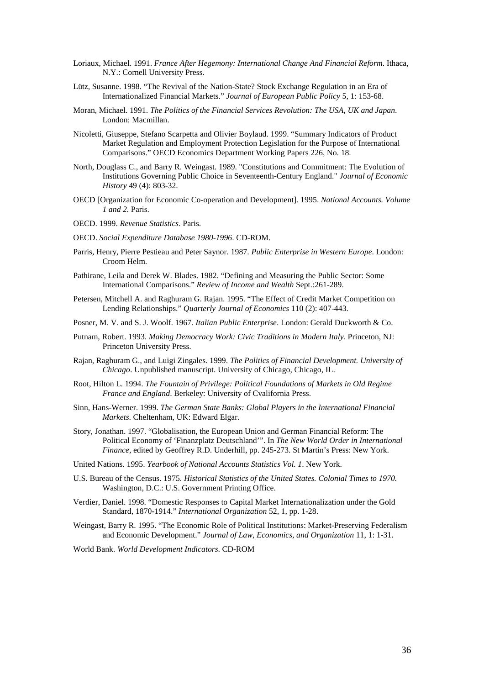- Loriaux, Michael. 1991. *France After Hegemony: International Change And Financial Reform*. Ithaca, N.Y.: Cornell University Press.
- Lütz, Susanne. 1998. "The Revival of the Nation-State? Stock Exchange Regulation in an Era of Internationalized Financial Markets." *Journal of European Public Policy* 5, 1: 153-68.
- Moran, Michael. 1991. *The Politics of the Financial Services Revolution: The USA, UK and Japan*. London: Macmillan.
- Nicoletti, Giuseppe, Stefano Scarpetta and Olivier Boylaud. 1999. "Summary Indicators of Product Market Regulation and Employment Protection Legislation for the Purpose of International Comparisons." OECD Economics Department Working Papers 226, No. 18.
- North, Douglass C., and Barry R. Weingast. 1989. "Constitutions and Commitment: The Evolution of Institutions Governing Public Choice in Seventeenth-Century England." *Journal of Economic History* 49 (4): 803-32.
- OECD [Organization for Economic Co-operation and Development]. 1995. *National Accounts. Volume 1 and 2.* Paris.
- OECD. 1999. *Revenue Statistics*. Paris.
- OECD. *Social Expenditure Database 1980-1996*. CD-ROM.
- Parris, Henry, Pierre Pestieau and Peter Saynor. 1987. *Public Enterprise in Western Europe*. London: Croom Helm.
- Pathirane, Leila and Derek W. Blades. 1982. "Defining and Measuring the Public Sector: Some International Comparisons." *Review of Income and Wealth* Sept.:261-289.
- Petersen, Mitchell A. and Raghuram G. Rajan. 1995. "The Effect of Credit Market Competition on Lending Relationships." *Quarterly Journal of Economics* 110 (2): 407-443.
- Posner, M. V. and S. J. Woolf. 1967. *Italian Public Enterprise*. London: Gerald Duckworth & Co.
- Putnam, Robert. 1993. *Making Democracy Work: Civic Traditions in Modern Italy*. Princeton, NJ: Princeton University Press.
- Rajan, Raghuram G., and Luigi Zingales. 1999. *The Politics of Financial Development. University of Chicago*. Unpublished manuscript. University of Chicago, Chicago, IL.
- Root, Hilton L. 1994. *The Fountain of Privilege: Political Foundations of Markets in Old Regime France and England*. Berkeley: University of Cvalifornia Press.
- Sinn, Hans-Werner. 1999. *The German State Banks: Global Players in the International Financial Markets*. Cheltenham, UK: Edward Elgar.
- Story, Jonathan. 1997. "Globalisation, the European Union and German Financial Reform: The Political Economy of 'Finanzplatz Deutschland'". In *The New World Order in International Finance*, edited by Geoffrey R.D. Underhill, pp. 245-273. St Martin's Press: New York.
- United Nations. 1995. *Yearbook of National Accounts Statistics Vol. 1*. New York.
- U.S. Bureau of the Census. 1975. *Historical Statistics of the United States. Colonial Times to 1970.* Washington, D.C.: U.S. Government Printing Office.
- Verdier, Daniel. 1998. "Domestic Responses to Capital Market Internationalization under the Gold Standard, 1870-1914." *International Organization* 52, 1, pp. 1-28.
- Weingast, Barry R. 1995. "The Economic Role of Political Institutions: Market-Preserving Federalism and Economic Development." *Journal of Law, Economics, and Organization* 11, 1: 1-31.
- World Bank. *World Development Indicators*. CD-ROM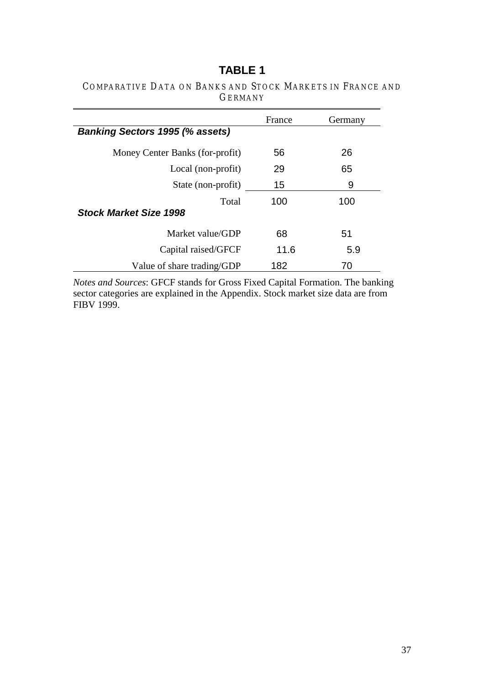# **TABLE 1**

### COMPARATIVE DATA ON BANKS AND STOCK MARKETS IN FRANCE AND GERMANY

|                                        | France | Germany |
|----------------------------------------|--------|---------|
| <b>Banking Sectors 1995 (% assets)</b> |        |         |
| Money Center Banks (for-profit)        | 56     | 26      |
| Local (non-profit)                     | 29     | 65      |
| State (non-profit)                     | 15     | 9       |
| Total                                  | 100    | 100     |
| <b>Stock Market Size 1998</b>          |        |         |
| Market value/GDP                       | 68     | 51      |
| Capital raised/GFCF                    | 11.6   | 5.9     |
| Value of share trading/GDP             | 182    | 70      |

*Notes and Sources*: GFCF stands for Gross Fixed Capital Formation. The banking sector categories are explained in the Appendix. Stock market size data are from FIBV 1999.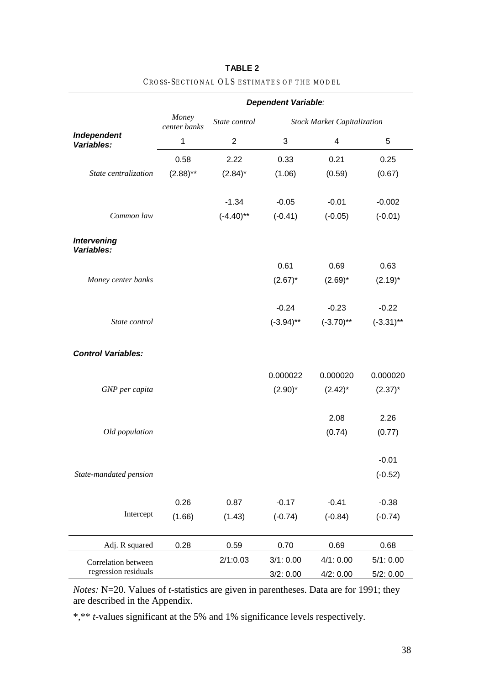|                                  | Dependent Variable:   |                |              |                                    |              |  |
|----------------------------------|-----------------------|----------------|--------------|------------------------------------|--------------|--|
|                                  | Money<br>center banks | State control  |              | <b>Stock Market Capitalization</b> |              |  |
| Independent<br>Variables:        | $\mathbf{1}$          | $\overline{2}$ | $\sqrt{3}$   | 4                                  | 5            |  |
|                                  | 0.58                  | 2.22           | 0.33         | 0.21                               | 0.25         |  |
| State centralization             | $(2.88)$ **           | $(2.84)^*$     | (1.06)       | (0.59)                             | (0.67)       |  |
|                                  |                       | $-1.34$        | $-0.05$      | $-0.01$                            | $-0.002$     |  |
| Common law                       |                       | $(-4.40)$ **   | $(-0.41)$    | $(-0.05)$                          | $(-0.01)$    |  |
| <b>Intervening</b><br>Variables: |                       |                |              |                                    |              |  |
|                                  |                       |                | 0.61         | 0.69                               | 0.63         |  |
| Money center banks               |                       |                | $(2.67)^*$   | $(2.69)^*$                         | $(2.19)^*$   |  |
|                                  |                       |                | $-0.24$      | $-0.23$                            | $-0.22$      |  |
| State control                    |                       |                | $(-3.94)$ ** | $(-3.70)$ **                       | $(-3.31)$ ** |  |
| <b>Control Variables:</b>        |                       |                |              |                                    |              |  |
|                                  |                       |                | 0.000022     | 0.000020                           | 0.000020     |  |
| GNP per capita                   |                       |                | $(2.90)^*$   | $(2.42)^*$                         | $(2.37)^*$   |  |
|                                  |                       |                |              | 2.08                               | 2.26         |  |
| Old population                   |                       |                |              | (0.74)                             | (0.77)       |  |
|                                  |                       |                |              |                                    | $-0.01$      |  |
| State-mandated pension           |                       |                |              |                                    | $(-0.52)$    |  |
|                                  | 0.26                  | 0.87           | $-0.17$      | $-0.41$                            | $-0.38$      |  |
| Intercept                        | (1.66)                | (1.43)         | $(-0.74)$    | $(-0.84)$                          | $(-0.74)$    |  |
| Adj. R squared                   | 0.28                  | 0.59           | 0.70         | 0.69                               | 0.68         |  |
| Correlation between              |                       | 2/1:0.03       | 3/1:0.00     | 4/1:0.00                           | 5/1:0.00     |  |
| regression residuals             |                       |                | 3/2: 0.00    | 4/2: 0.00                          | 5/2:0.00     |  |

### **TABLE 2** CROSS -SECTIONAL OLS ESTIMATES OF THE MODEL

*Notes:* N=20. Values of *t*-statistics are given in parentheses. Data are for 1991; they are described in the Appendix.

\*,\*\* *t*-values significant at the 5% and 1% significance levels respectively.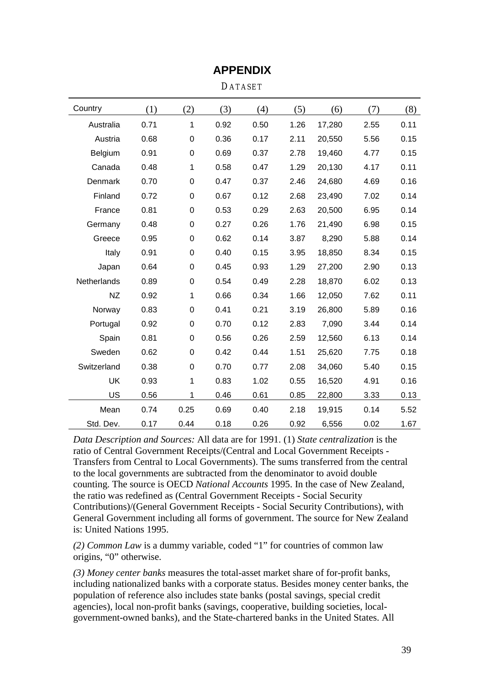| Country     | (1)  | (2)              | (3)  | (4)  | (5)  | (6)    | (7)  | (8)  |
|-------------|------|------------------|------|------|------|--------|------|------|
| Australia   | 0.71 | $\mathbf{1}$     | 0.92 | 0.50 | 1.26 | 17,280 | 2.55 | 0.11 |
| Austria     | 0.68 | $\mathbf 0$      | 0.36 | 0.17 | 2.11 | 20,550 | 5.56 | 0.15 |
| Belgium     | 0.91 | 0                | 0.69 | 0.37 | 2.78 | 19,460 | 4.77 | 0.15 |
| Canada      | 0.48 | 1                | 0.58 | 0.47 | 1.29 | 20,130 | 4.17 | 0.11 |
| Denmark     | 0.70 | 0                | 0.47 | 0.37 | 2.46 | 24,680 | 4.69 | 0.16 |
| Finland     | 0.72 | 0                | 0.67 | 0.12 | 2.68 | 23,490 | 7.02 | 0.14 |
| France      | 0.81 | $\boldsymbol{0}$ | 0.53 | 0.29 | 2.63 | 20,500 | 6.95 | 0.14 |
| Germany     | 0.48 | 0                | 0.27 | 0.26 | 1.76 | 21,490 | 6.98 | 0.15 |
| Greece      | 0.95 | $\boldsymbol{0}$ | 0.62 | 0.14 | 3.87 | 8,290  | 5.88 | 0.14 |
| Italy       | 0.91 | 0                | 0.40 | 0.15 | 3.95 | 18,850 | 8.34 | 0.15 |
| Japan       | 0.64 | 0                | 0.45 | 0.93 | 1.29 | 27,200 | 2.90 | 0.13 |
| Netherlands | 0.89 | 0                | 0.54 | 0.49 | 2.28 | 18,870 | 6.02 | 0.13 |
| <b>NZ</b>   | 0.92 | 1                | 0.66 | 0.34 | 1.66 | 12,050 | 7.62 | 0.11 |
| Norway      | 0.83 | 0                | 0.41 | 0.21 | 3.19 | 26,800 | 5.89 | 0.16 |
| Portugal    | 0.92 | $\mathbf 0$      | 0.70 | 0.12 | 2.83 | 7,090  | 3.44 | 0.14 |
| Spain       | 0.81 | 0                | 0.56 | 0.26 | 2.59 | 12,560 | 6.13 | 0.14 |
| Sweden      | 0.62 | 0                | 0.42 | 0.44 | 1.51 | 25,620 | 7.75 | 0.18 |
| Switzerland | 0.38 | $\mathbf 0$      | 0.70 | 0.77 | 2.08 | 34,060 | 5.40 | 0.15 |
| <b>UK</b>   | 0.93 | 1                | 0.83 | 1.02 | 0.55 | 16,520 | 4.91 | 0.16 |
| US          | 0.56 | 1                | 0.46 | 0.61 | 0.85 | 22,800 | 3.33 | 0.13 |
| Mean        | 0.74 | 0.25             | 0.69 | 0.40 | 2.18 | 19,915 | 0.14 | 5.52 |
| Std. Dev.   | 0.17 | 0.44             | 0.18 | 0.26 | 0.92 | 6,556  | 0.02 | 1.67 |

# **APPENDIX**

DATASET

*Data Description and Sources:* All data are for 1991. (1) *State centralization* is the ratio of Central Government Receipts/(Central and Local Government Receipts - Transfers from Central to Local Governments). The sums transferred from the central to the local governments are subtracted from the denominator to avoid double counting. The source is OECD *National Accounts* 1995. In the case of New Zealand, the ratio was redefined as (Central Government Receipts - Social Security Contributions)/(General Government Receipts - Social Security Contributions), with General Government including all forms of government. The source for New Zealand is: United Nations 1995.

*(2) Common Law* is a dummy variable, coded "1" for countries of common law origins, "0" otherwise.

*(3) Money center banks* measures the total-asset market share of for-profit banks, including nationalized banks with a corporate status. Besides money center banks, the population of reference also includes state banks (postal savings, special credit agencies), local non-profit banks (savings, cooperative, building societies, localgovernment-owned banks), and the State-chartered banks in the United States. All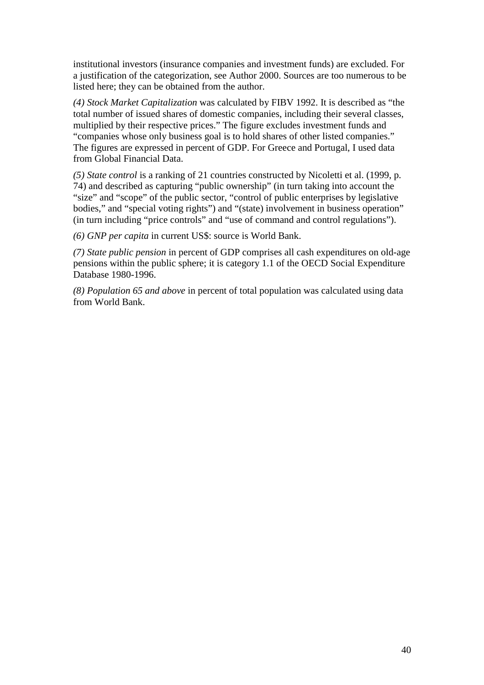institutional investors (insurance companies and investment funds) are excluded. For a justification of the categorization, see Author 2000. Sources are too numerous to be listed here; they can be obtained from the author.

*(4) Stock Market Capitalization* was calculated by FIBV 1992. It is described as "the total number of issued shares of domestic companies, including their several classes, multiplied by their respective prices." The figure excludes investment funds and "companies whose only business goal is to hold shares of other listed companies." The figures are expressed in percent of GDP. For Greece and Portugal, I used data from Global Financial Data.

*(5) State control* is a ranking of 21 countries constructed by Nicoletti et al. (1999, p. 74) and described as capturing "public ownership" (in turn taking into account the "size" and "scope" of the public sector, "control of public enterprises by legislative bodies," and "special voting rights") and "(state) involvement in business operation" (in turn including "price controls" and "use of command and control regulations").

*(6) GNP per capita* in current US\$: source is World Bank.

*(7) State public pension* in percent of GDP comprises all cash expenditures on old-age pensions within the public sphere; it is category 1.1 of the OECD Social Expenditure Database 1980-1996.

*(8) Population 65 and above* in percent of total population was calculated using data from World Bank.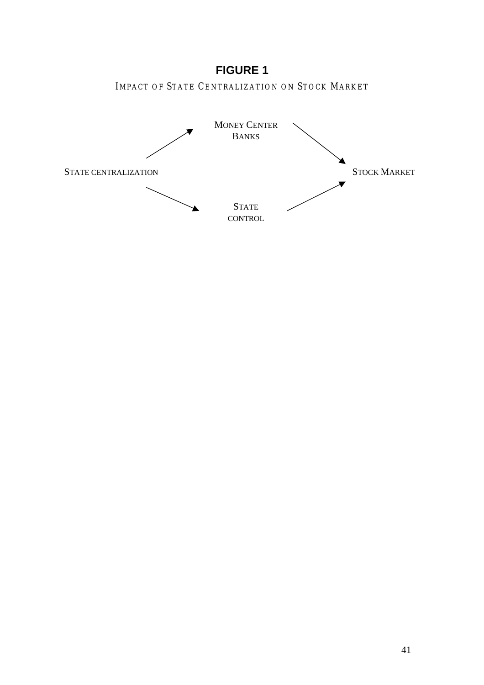# **FIGURE 1**

IMPACT OF STATE CENTRALIZATION ON STOCK MARKET

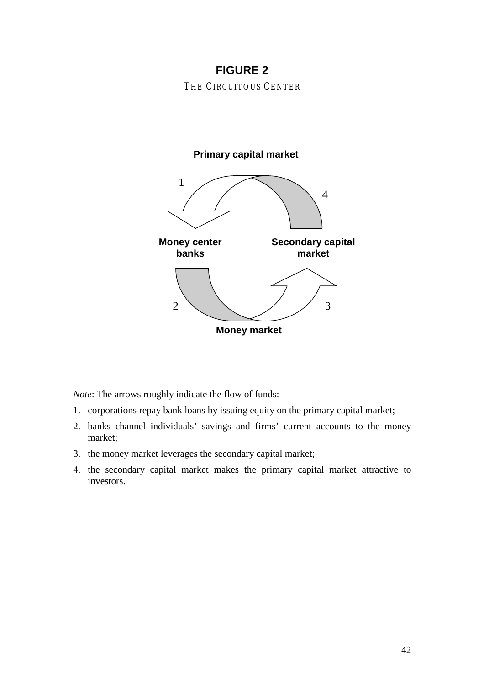# **FIGURE 2**

THE CIRCUITOUS CENTER

# **Primary capital market**



*Note*: The arrows roughly indicate the flow of funds:

- 1. corporations repay bank loans by issuing equity on the primary capital market;
- 2. banks channel individuals' savings and firms' current accounts to the money market;
- 3. the money market leverages the secondary capital market;
- 4. the secondary capital market makes the primary capital market attractive to investors.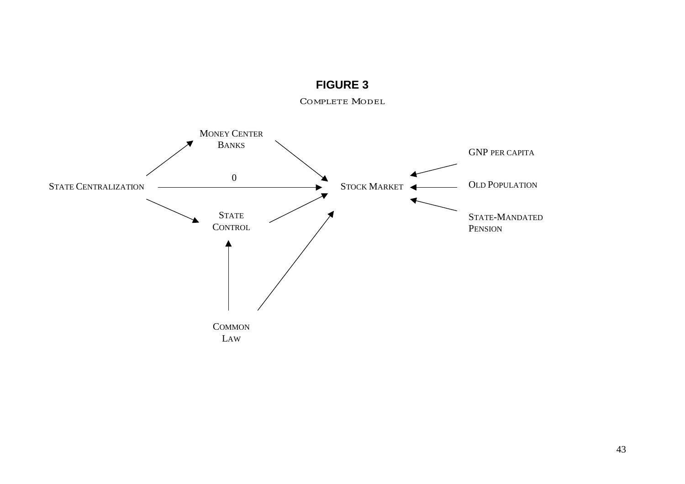

**FIGURE 3**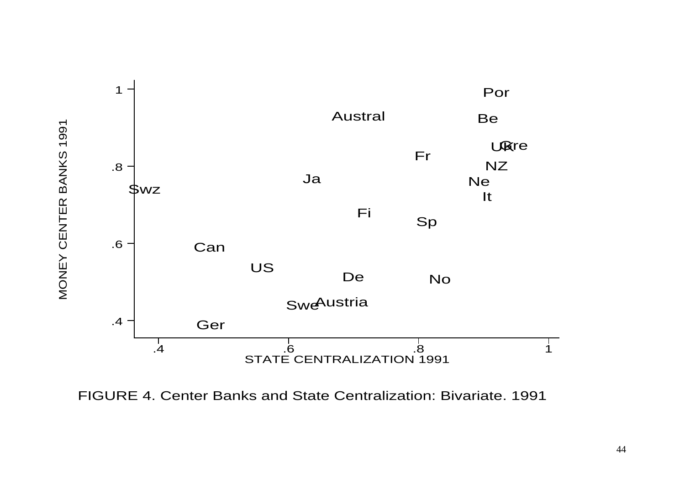

FIGURE 4. Center Banks and State Centralization: Bivariate. 1991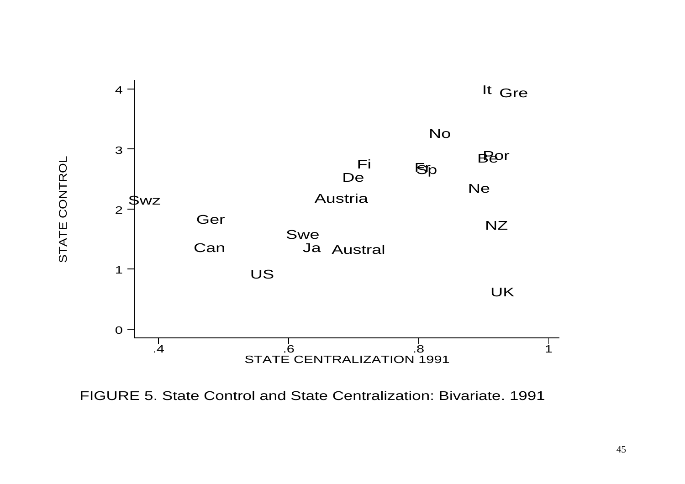

FIGURE 5. State Control and State Centralization: Bivariate. 1991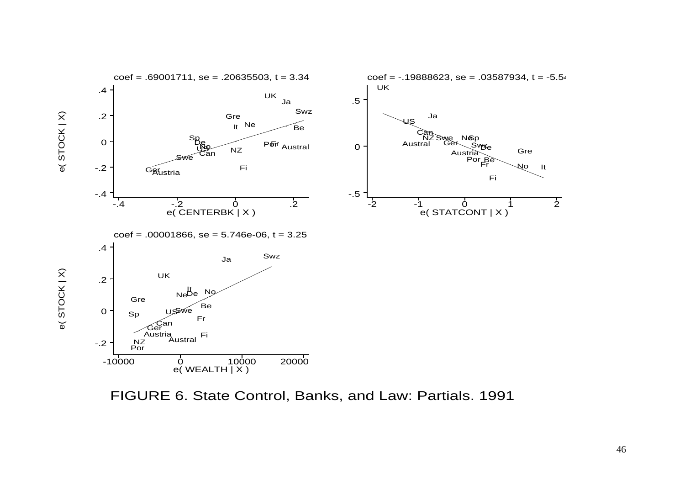

FIGURE 6. State Control, Banks, and Law: Partials. 1991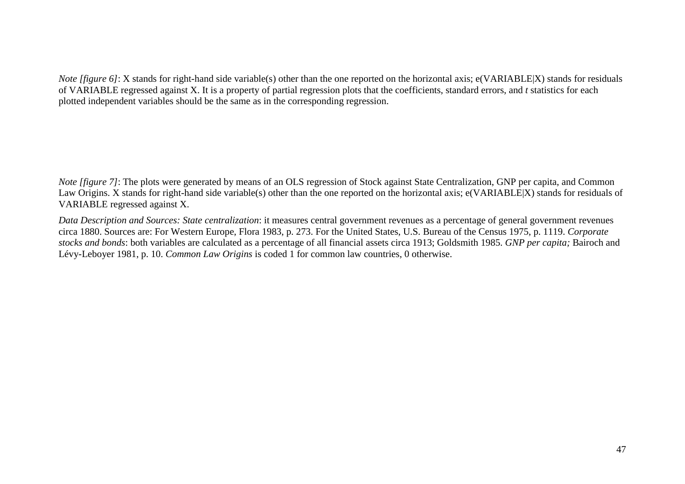*Note [figure 6]*: X stands for right-hand side variable(s) other than the one reported on the horizontal axis; e(VARIABLE) stands for residuals of VARIABLE regressed against X. It is a property of partial regression plots that the coefficients, standard errors, and *t* statistics for each plotted independent variables should be the same as in the corresponding regression.

*Note [figure 7]*: The plots were generated by means of an OLS regression of Stock against State Centralization, GNP per capita, and Common Law Origins. X stands for right-hand side variable(s) other than the one reported on the horizontal axis; e(VARIABLE|X) stands for residuals of VARIABLE regressed against X.

*Data Description and Sources: State centralization*: it measures central government revenues as a percentage of general government revenues circa 1880. Sources are: For Western Europe, Flora 1983, p. 273. For the United States, U.S. Bureau of the Census 1975, p. 1119. *Corporate stocks and bonds*: both variables are calculated as a percentage of all financial assets circa 1913; Goldsmith 1985. *GNP per capita;* Bairoch and Lévy-Leboyer 1981, p. 10. *Common Law Origins* is coded 1 for common law countries, 0 otherwise.